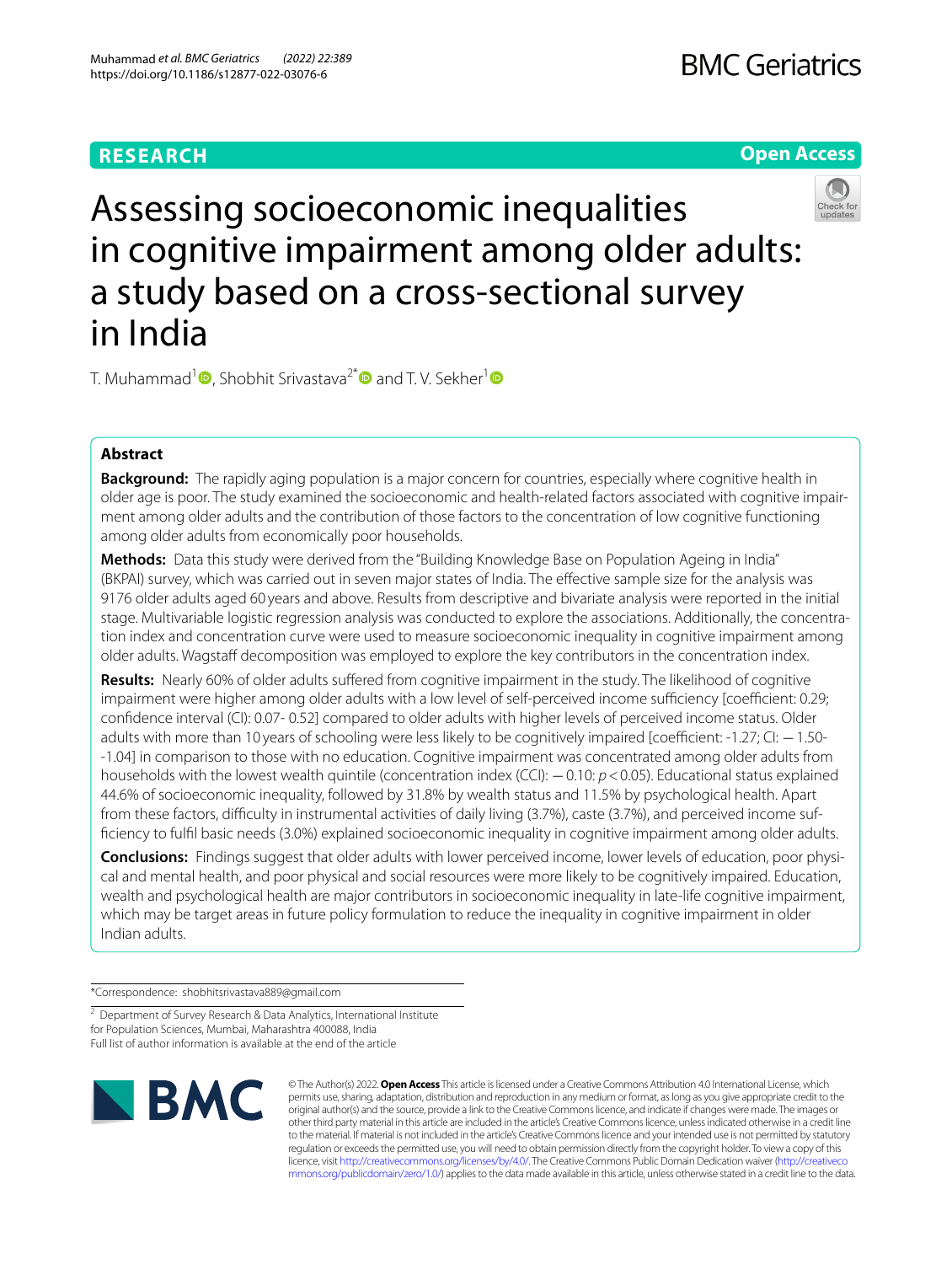# **RESEARCH**

# **Open Access**



Assessing socioeconomic inequalities in cognitive impairment among older adults: a study based on a cross-sectional survey in India

T. Muhammad<sup>[1](https://orcid.org/0000-0003-1486-7038)</sup>  $\bullet$ , Shobhit Srivastava<sup>2\*</sup> and T. V. Sekher<sup>1</sup>  $\bullet$ 

# **Abstract**

**Background:** The rapidly aging population is a major concern for countries, especially where cognitive health in older age is poor. The study examined the socioeconomic and health-related factors associated with cognitive impairment among older adults and the contribution of those factors to the concentration of low cognitive functioning among older adults from economically poor households.

**Methods:** Data this study were derived from the "Building Knowledge Base on Population Ageing in India" (BKPAI) survey, which was carried out in seven major states of India. The efective sample size for the analysis was 9176 older adults aged 60 years and above. Results from descriptive and bivariate analysis were reported in the initial stage. Multivariable logistic regression analysis was conducted to explore the associations. Additionally, the concentration index and concentration curve were used to measure socioeconomic inequality in cognitive impairment among older adults. Wagstaff decomposition was employed to explore the key contributors in the concentration index.

**Results:** Nearly 60% of older adults sufered from cognitive impairment in the study. The likelihood of cognitive impairment were higher among older adults with a low level of self-perceived income sufficiency [coefficient: 0.29; confdence interval (CI): 0.07- 0.52] compared to older adults with higher levels of perceived income status. Older adults with more than 10 years of schooling were less likely to be cognitively impaired [coefficient: -1.27; CI: -1.50--1.04] in comparison to those with no education. Cognitive impairment was concentrated among older adults from households with the lowest wealth quintile (concentration index (CCI): −0.10: *p* <0.05). Educational status explained 44.6% of socioeconomic inequality, followed by 31.8% by wealth status and 11.5% by psychological health. Apart from these factors, difficulty in instrumental activities of daily living (3.7%), caste (3.7%), and perceived income suffciency to fulfl basic needs (3.0%) explained socioeconomic inequality in cognitive impairment among older adults.

**Conclusions:** Findings suggest that older adults with lower perceived income, lower levels of education, poor physical and mental health, and poor physical and social resources were more likely to be cognitively impaired. Education, wealth and psychological health are major contributors in socioeconomic inequality in late-life cognitive impairment, which may be target areas in future policy formulation to reduce the inequality in cognitive impairment in older Indian adults.

\*Correspondence: shobhitsrivastava889@gmail.com

<sup>&</sup>lt;sup>2</sup> Department of Survey Research & Data Analytics, International Institute for Population Sciences, Mumbai, Maharashtra 400088, India Full list of author information is available at the end of the article



© The Author(s) 2022. **Open Access** This article is licensed under a Creative Commons Attribution 4.0 International License, which permits use, sharing, adaptation, distribution and reproduction in any medium or format, as long as you give appropriate credit to the original author(s) and the source, provide a link to the Creative Commons licence, and indicate if changes were made. The images or other third party material in this article are included in the article's Creative Commons licence, unless indicated otherwise in a credit line to the material. If material is not included in the article's Creative Commons licence and your intended use is not permitted by statutory regulation or exceeds the permitted use, you will need to obtain permission directly from the copyright holder. To view a copy of this licence, visit [http://creativecommons.org/licenses/by/4.0/.](http://creativecommons.org/licenses/by/4.0/) The Creative Commons Public Domain Dedication waiver ([http://creativeco](http://creativecommons.org/publicdomain/zero/1.0/) [mmons.org/publicdomain/zero/1.0/](http://creativecommons.org/publicdomain/zero/1.0/)) applies to the data made available in this article, unless otherwise stated in a credit line to the data.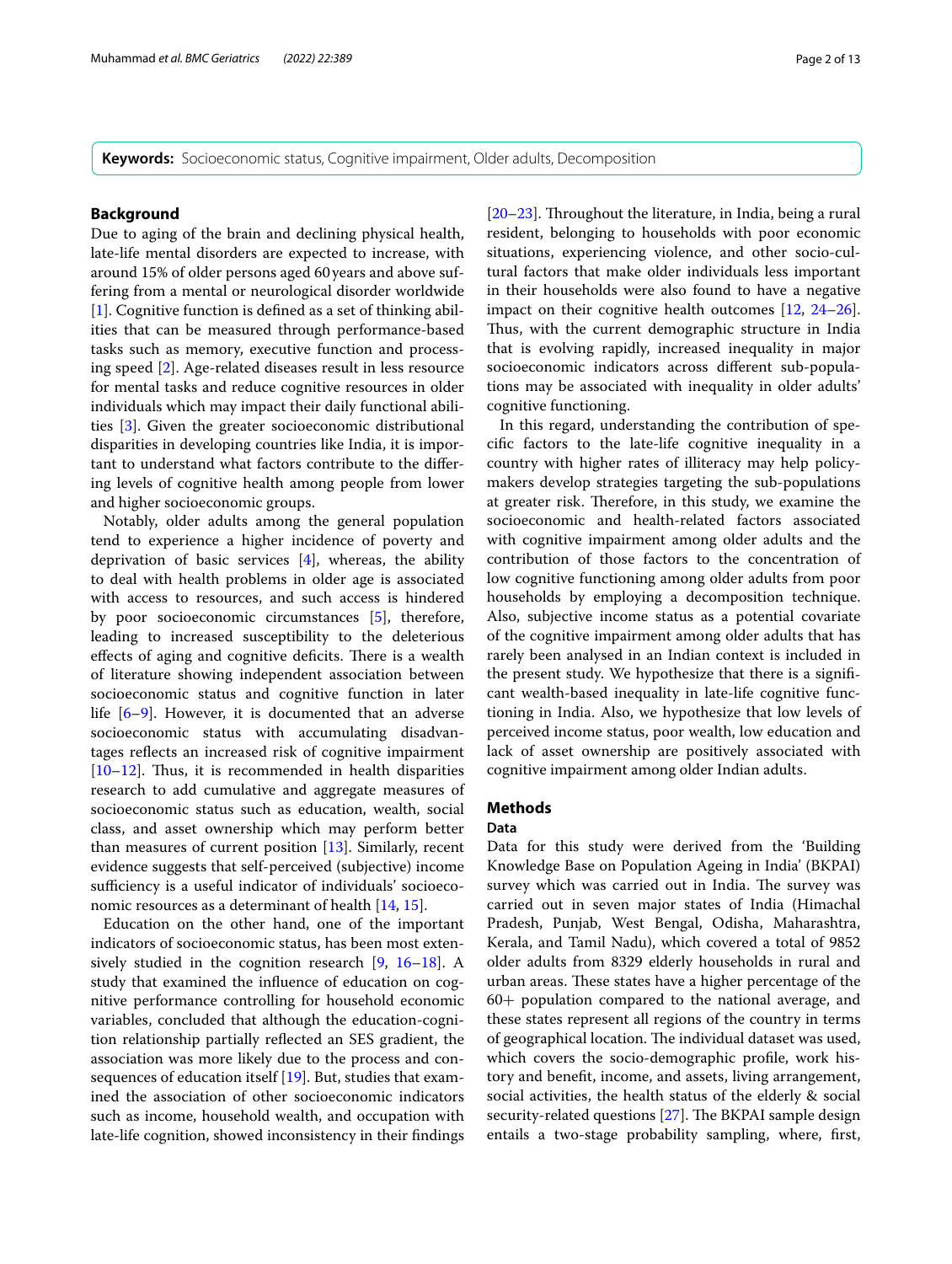**Keywords:** Socioeconomic status, Cognitive impairment, Older adults, Decomposition

## **Background**

Due to aging of the brain and declining physical health, late-life mental disorders are expected to increase, with around 15% of older persons aged 60years and above suffering from a mental or neurological disorder worldwide [[1\]](#page-10-0). Cognitive function is defined as a set of thinking abilities that can be measured through performance-based tasks such as memory, executive function and processing speed [[2\]](#page-10-1). Age-related diseases result in less resource for mental tasks and reduce cognitive resources in older individuals which may impact their daily functional abilities [[3\]](#page-10-2). Given the greater socioeconomic distributional disparities in developing countries like India, it is important to understand what factors contribute to the difering levels of cognitive health among people from lower and higher socioeconomic groups.

Notably, older adults among the general population tend to experience a higher incidence of poverty and deprivation of basic services [[4\]](#page-10-3), whereas, the ability to deal with health problems in older age is associated with access to resources, and such access is hindered by poor socioeconomic circumstances [\[5](#page-10-4)], therefore, leading to increased susceptibility to the deleterious effects of aging and cognitive deficits. There is a wealth of literature showing independent association between socioeconomic status and cognitive function in later life [\[6](#page-10-5)–[9\]](#page-10-6). However, it is documented that an adverse socioeconomic status with accumulating disadvantages refects an increased risk of cognitive impairment  $[10-12]$  $[10-12]$  $[10-12]$ . Thus, it is recommended in health disparities research to add cumulative and aggregate measures of socioeconomic status such as education, wealth, social class, and asset ownership which may perform better than measures of current position  $[13]$ . Similarly, recent evidence suggests that self-perceived (subjective) income sufficiency is a useful indicator of individuals' socioeconomic resources as a determinant of health [[14,](#page-10-10) [15](#page-10-11)].

Education on the other hand, one of the important indicators of socioeconomic status, has been most extensively studied in the cognition research [[9,](#page-10-6) [16–](#page-10-12)[18](#page-11-0)]. A study that examined the infuence of education on cognitive performance controlling for household economic variables, concluded that although the education-cognition relationship partially refected an SES gradient, the association was more likely due to the process and consequences of education itself [\[19\]](#page-11-1). But, studies that examined the association of other socioeconomic indicators such as income, household wealth, and occupation with late-life cognition, showed inconsistency in their fndings  $[20-23]$  $[20-23]$ . Throughout the literature, in India, being a rural resident, belonging to households with poor economic situations, experiencing violence, and other socio-cultural factors that make older individuals less important in their households were also found to have a negative impact on their cognitive health outcomes [[12,](#page-10-8) [24](#page-11-4)[–26](#page-11-5)]. Thus, with the current demographic structure in India that is evolving rapidly, increased inequality in major socioeconomic indicators across diferent sub-populations may be associated with inequality in older adults' cognitive functioning.

In this regard, understanding the contribution of specifc factors to the late-life cognitive inequality in a country with higher rates of illiteracy may help policymakers develop strategies targeting the sub-populations at greater risk. Therefore, in this study, we examine the socioeconomic and health-related factors associated with cognitive impairment among older adults and the contribution of those factors to the concentration of low cognitive functioning among older adults from poor households by employing a decomposition technique. Also, subjective income status as a potential covariate of the cognitive impairment among older adults that has rarely been analysed in an Indian context is included in the present study. We hypothesize that there is a signifcant wealth-based inequality in late-life cognitive functioning in India. Also, we hypothesize that low levels of perceived income status, poor wealth, low education and lack of asset ownership are positively associated with cognitive impairment among older Indian adults.

### **Methods**

# **Data**

Data for this study were derived from the 'Building Knowledge Base on Population Ageing in India' (BKPAI) survey which was carried out in India. The survey was carried out in seven major states of India (Himachal Pradesh, Punjab, West Bengal, Odisha, Maharashtra, Kerala, and Tamil Nadu), which covered a total of 9852 older adults from 8329 elderly households in rural and urban areas. These states have a higher percentage of the 60+ population compared to the national average, and these states represent all regions of the country in terms of geographical location. The individual dataset was used, which covers the socio-demographic profle, work history and beneft, income, and assets, living arrangement, social activities, the health status of the elderly & social security-related questions  $[27]$  $[27]$ . The BKPAI sample design entails a two-stage probability sampling, where, frst,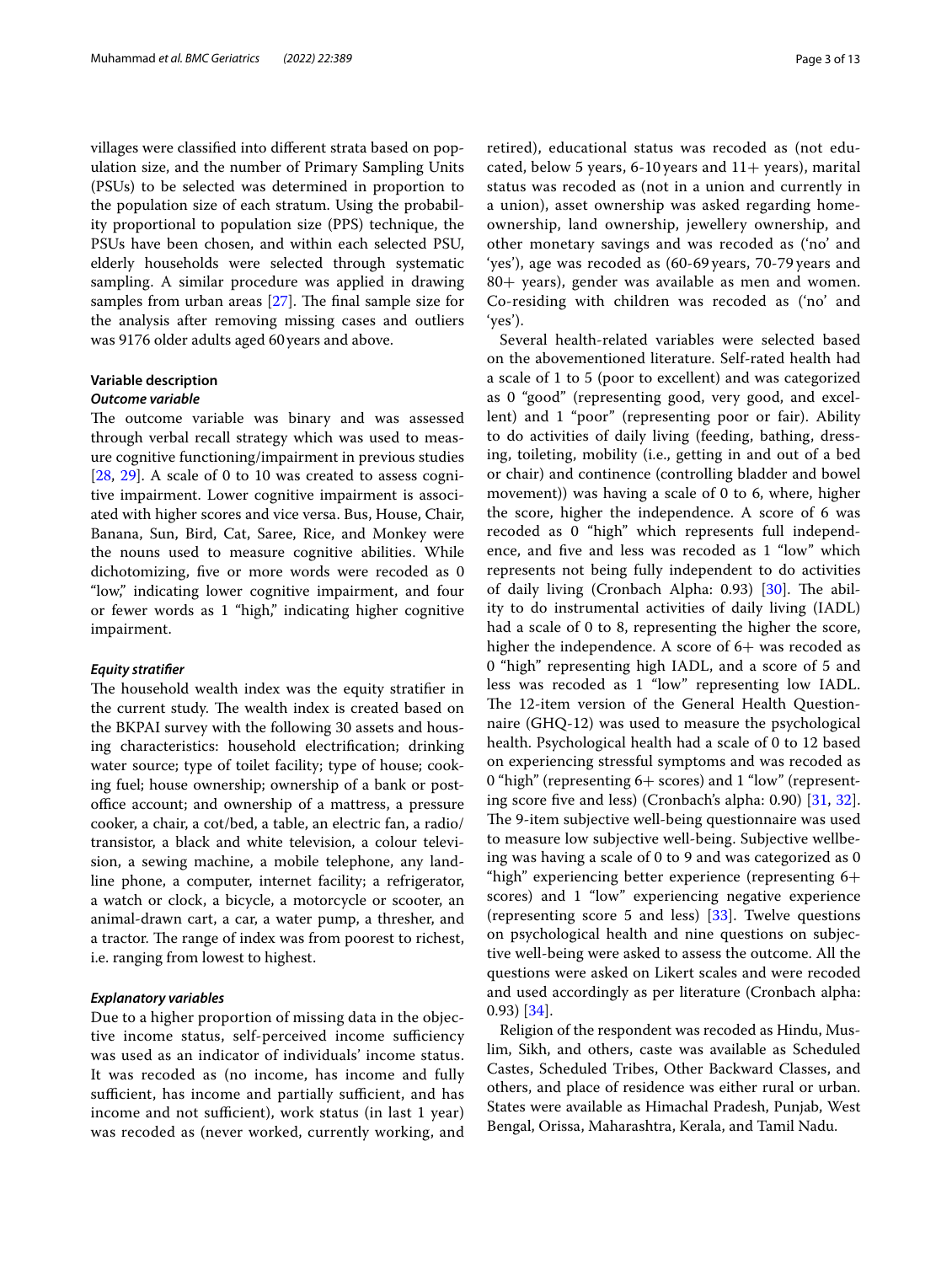villages were classifed into diferent strata based on population size, and the number of Primary Sampling Units (PSUs) to be selected was determined in proportion to the population size of each stratum. Using the probability proportional to population size (PPS) technique, the PSUs have been chosen, and within each selected PSU, elderly households were selected through systematic sampling. A similar procedure was applied in drawing samples from urban areas  $[27]$  $[27]$ . The final sample size for the analysis after removing missing cases and outliers was 9176 older adults aged 60years and above.

## **Variable description**

## *Outcome variable*

The outcome variable was binary and was assessed through verbal recall strategy which was used to measure cognitive functioning/impairment in previous studies [[28,](#page-11-7) [29](#page-11-8)]. A scale of 0 to 10 was created to assess cognitive impairment. Lower cognitive impairment is associated with higher scores and vice versa. Bus, House, Chair, Banana, Sun, Bird, Cat, Saree, Rice, and Monkey were the nouns used to measure cognitive abilities. While dichotomizing, fve or more words were recoded as 0 "low," indicating lower cognitive impairment, and four or fewer words as 1 "high," indicating higher cognitive impairment.

## *Equity stratifer*

The household wealth index was the equity stratifier in the current study. The wealth index is created based on the BKPAI survey with the following 30 assets and housing characteristics: household electrifcation; drinking water source; type of toilet facility; type of house; cooking fuel; house ownership; ownership of a bank or postoffice account; and ownership of a mattress, a pressure cooker, a chair, a cot/bed, a table, an electric fan, a radio/ transistor, a black and white television, a colour television, a sewing machine, a mobile telephone, any landline phone, a computer, internet facility; a refrigerator, a watch or clock, a bicycle, a motorcycle or scooter, an animal-drawn cart, a car, a water pump, a thresher, and a tractor. The range of index was from poorest to richest, i.e. ranging from lowest to highest.

## *Explanatory variables*

Due to a higher proportion of missing data in the objective income status, self-perceived income sufficiency was used as an indicator of individuals' income status. It was recoded as (no income, has income and fully sufficient, has income and partially sufficient, and has income and not sufficient), work status (in last 1 year) was recoded as (never worked, currently working, and retired), educational status was recoded as (not educated, below 5 years, 6-10 years and  $11+$  years), marital status was recoded as (not in a union and currently in a union), asset ownership was asked regarding homeownership, land ownership, jewellery ownership, and other monetary savings and was recoded as ('no' and 'yes'), age was recoded as (60-69 years, 70-79 years and 80+ years), gender was available as men and women. Co-residing with children was recoded as ('no' and 'yes').

Several health-related variables were selected based on the abovementioned literature. Self-rated health had a scale of 1 to 5 (poor to excellent) and was categorized as 0 "good" (representing good, very good, and excellent) and 1 "poor" (representing poor or fair). Ability to do activities of daily living (feeding, bathing, dressing, toileting, mobility (i.e., getting in and out of a bed or chair) and continence (controlling bladder and bowel movement)) was having a scale of 0 to 6, where, higher the score, higher the independence. A score of 6 was recoded as 0 "high" which represents full independence, and fve and less was recoded as 1 "low" which represents not being fully independent to do activities of daily living (Cronbach Alpha:  $0.93$ ) [\[30](#page-11-9)]. The ability to do instrumental activities of daily living (IADL) had a scale of 0 to 8, representing the higher the score, higher the independence. A score of  $6+$  was recoded as 0 "high" representing high IADL, and a score of 5 and less was recoded as 1 "low" representing low IADL. The 12-item version of the General Health Questionnaire (GHQ-12) was used to measure the psychological health. Psychological health had a scale of 0 to 12 based on experiencing stressful symptoms and was recoded as 0 "high" (representing 6+ scores) and 1 "low" (representing score fve and less) (Cronbach's alpha: 0.90) [\[31](#page-11-10), [32](#page-11-11)]. The 9-item subjective well-being questionnaire was used to measure low subjective well-being. Subjective wellbeing was having a scale of 0 to 9 and was categorized as 0 "high" experiencing better experience (representing 6+ scores) and 1 "low" experiencing negative experience (representing score 5 and less) [[33\]](#page-11-12). Twelve questions on psychological health and nine questions on subjective well-being were asked to assess the outcome. All the questions were asked on Likert scales and were recoded and used accordingly as per literature (Cronbach alpha: 0.93) [[34\]](#page-11-13).

Religion of the respondent was recoded as Hindu, Muslim, Sikh, and others, caste was available as Scheduled Castes, Scheduled Tribes, Other Backward Classes, and others, and place of residence was either rural or urban. States were available as Himachal Pradesh, Punjab, West Bengal, Orissa, Maharashtra, Kerala, and Tamil Nadu.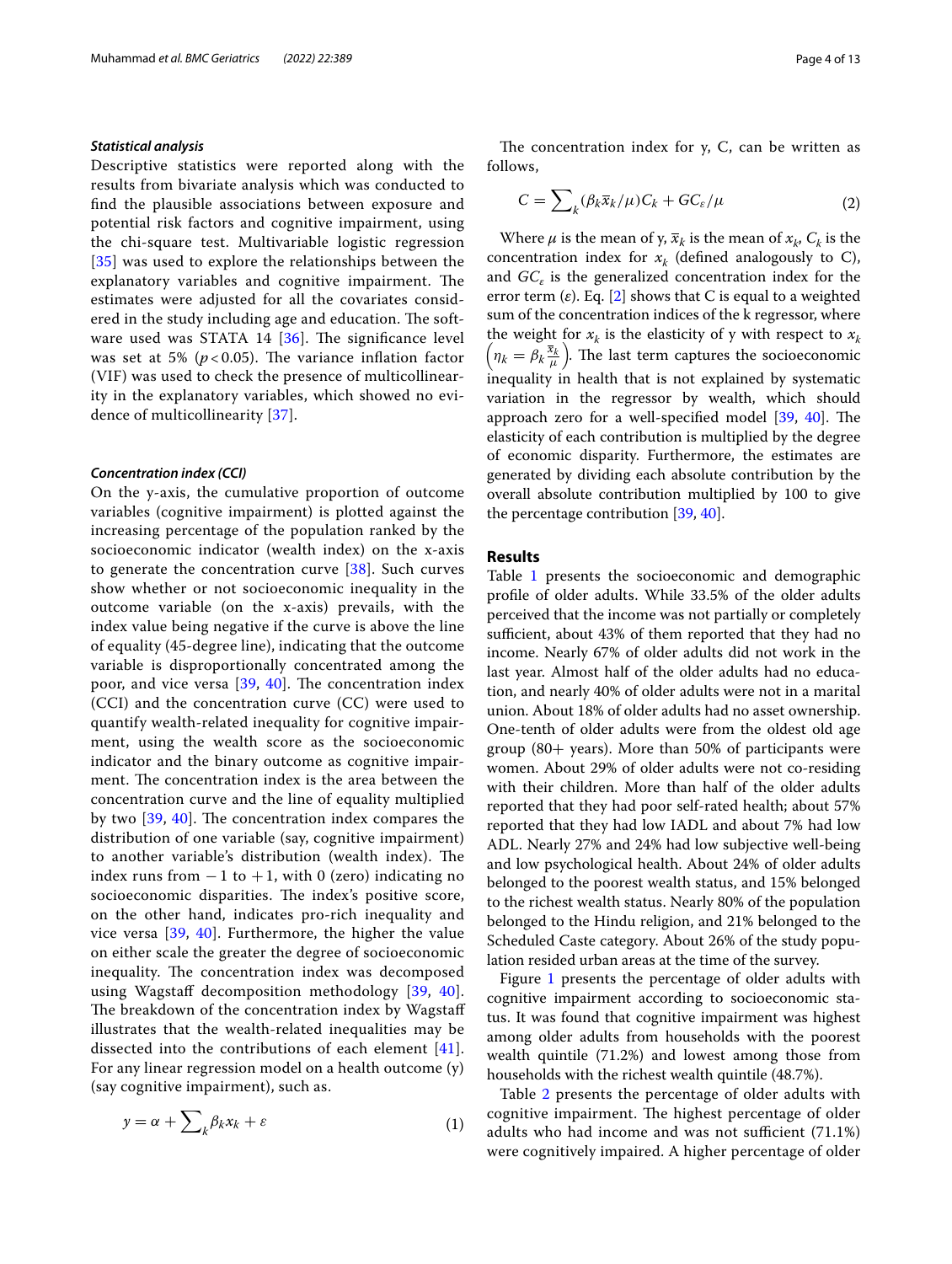### *Statistical analysis*

Descriptive statistics were reported along with the results from bivariate analysis which was conducted to fnd the plausible associations between exposure and potential risk factors and cognitive impairment, using the chi-square test. Multivariable logistic regression [[35](#page-11-14)] was used to explore the relationships between the explanatory variables and cognitive impairment. The estimates were adjusted for all the covariates considered in the study including age and education. The software used was STATA 14  $[36]$  $[36]$ . The significance level was set at 5%  $(p<0.05)$ . The variance inflation factor (VIF) was used to check the presence of multicollinearity in the explanatory variables, which showed no evidence of multicollinearity [[37\]](#page-11-16).

### *Concentration index (CCI)*

On the y-axis, the cumulative proportion of outcome variables (cognitive impairment) is plotted against the increasing percentage of the population ranked by the socioeconomic indicator (wealth index) on the x-axis to generate the concentration curve [\[38](#page-11-17)]. Such curves show whether or not socioeconomic inequality in the outcome variable (on the x-axis) prevails, with the index value being negative if the curve is above the line of equality (45-degree line), indicating that the outcome variable is disproportionally concentrated among the poor, and vice versa  $[39, 40]$  $[39, 40]$  $[39, 40]$  $[39, 40]$ . The concentration index (CCI) and the concentration curve (CC) were used to quantify wealth-related inequality for cognitive impairment, using the wealth score as the socioeconomic indicator and the binary outcome as cognitive impairment. The concentration index is the area between the concentration curve and the line of equality multiplied by two [[39](#page-11-18), [40\]](#page-11-19). The concentration index compares the distribution of one variable (say, cognitive impairment) to another variable's distribution (wealth index). The index runs from  $-1$  to  $+1$ , with 0 (zero) indicating no socioeconomic disparities. The index's positive score, on the other hand, indicates pro-rich inequality and vice versa [\[39](#page-11-18), [40\]](#page-11-19). Furthermore, the higher the value on either scale the greater the degree of socioeconomic inequality. The concentration index was decomposed using Wagstaff decomposition methodology [[39,](#page-11-18) [40\]](#page-11-19). The breakdown of the concentration index by Wagstaff illustrates that the wealth-related inequalities may be dissected into the contributions of each element [[41\]](#page-11-20). For any linear regression model on a health outcome (y) (say cognitive impairment), such as.

$$
y = \alpha + \sum_{k} \beta_{k} x_{k} + \varepsilon \tag{1}
$$

The concentration index for  $y$ ,  $C$ , can be written as follows,

$$
C = \sum_{k} (\beta_{k} \overline{x}_{k} / \mu) C_{k} + G C_{\varepsilon} / \mu \tag{2}
$$

Where  $\mu$  is the mean of y,  $\bar{x}_k$  is the mean of  $x_k$ ,  $C_k$  is the concentration index for  $x_k$  (defined analogously to C), and *GC<sub>ε</sub>* is the generalized concentration index for the error term (*ε*). Eq. [\[2\]](#page-10-1) shows that C is equal to a weighted sum of the concentration indices of the k regressor, where the weight for  $x_k$  is the elasticity of y with respect to  $x_k$  $\left(n_k = \beta_k \frac{\bar{x}_k}{\mu}\right)$ . The last term captures the socioeconomic inequality in health that is not explained by systematic variation in the regressor by wealth, which should approach zero for a well-specified model [\[39](#page-11-18), [40\]](#page-11-19). The elasticity of each contribution is multiplied by the degree of economic disparity. Furthermore, the estimates are generated by dividing each absolute contribution by the overall absolute contribution multiplied by 100 to give the percentage contribution [\[39,](#page-11-18) [40](#page-11-19)].

## **Results**

Table [1](#page-4-0) presents the socioeconomic and demographic profle of older adults. While 33.5% of the older adults perceived that the income was not partially or completely sufficient, about 43% of them reported that they had no income. Nearly 67% of older adults did not work in the last year. Almost half of the older adults had no education, and nearly 40% of older adults were not in a marital union. About 18% of older adults had no asset ownership. One-tenth of older adults were from the oldest old age group  $(80+)$  years). More than 50% of participants were women. About 29% of older adults were not co-residing with their children. More than half of the older adults reported that they had poor self-rated health; about 57% reported that they had low IADL and about 7% had low ADL. Nearly 27% and 24% had low subjective well-being and low psychological health. About 24% of older adults belonged to the poorest wealth status, and 15% belonged to the richest wealth status. Nearly 80% of the population belonged to the Hindu religion, and 21% belonged to the Scheduled Caste category. About 26% of the study population resided urban areas at the time of the survey.

Figure [1](#page-5-0) presents the percentage of older adults with cognitive impairment according to socioeconomic status. It was found that cognitive impairment was highest among older adults from households with the poorest wealth quintile (71.2%) and lowest among those from households with the richest wealth quintile (48.7%).

Table [2](#page-6-0) presents the percentage of older adults with cognitive impairment. The highest percentage of older adults who had income and was not sufficient  $(71.1\%)$ were cognitively impaired. A higher percentage of older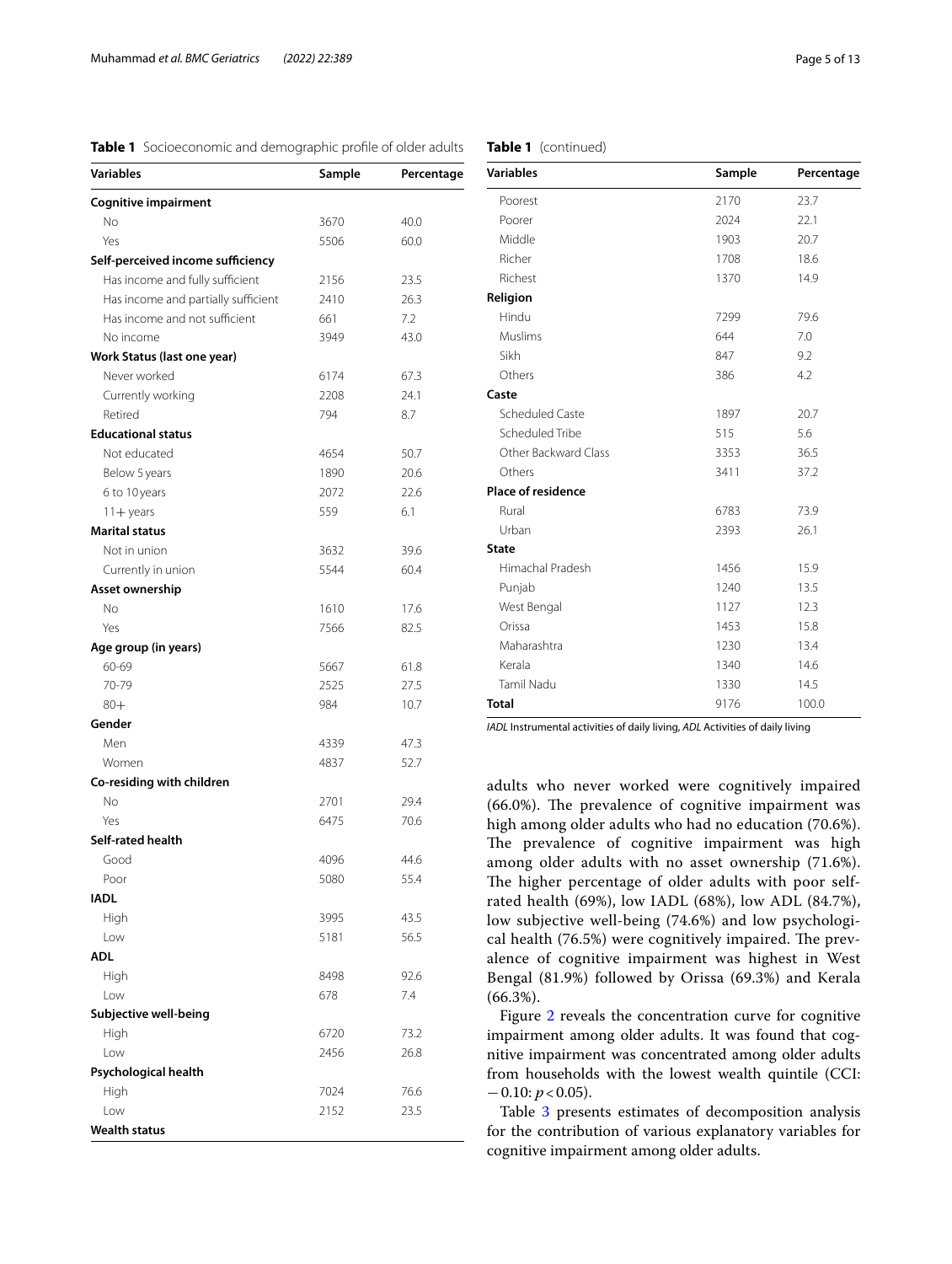# <span id="page-4-0"></span>**Table 1** Socioeconomic and demographic profle of older adults

| <b>Variables</b>                    | Sample       | Percentage   |
|-------------------------------------|--------------|--------------|
| <b>Cognitive impairment</b>         |              |              |
| No                                  | 3670         | 40.0         |
| Yes                                 | 5506         | 60.0         |
| Self-perceived income sufficiency   |              |              |
| Has income and fully sufficient     | 2156         | 23.5         |
| Has income and partially sufficient | 2410         | 26.3         |
| Has income and not sufficient       | 661          | 7.2          |
| No income                           | 3949         | 43.0         |
| Work Status (last one year)         |              |              |
| Never worked                        | 6174         | 67.3         |
| Currently working                   | 2208         | 24.1         |
| Retired                             | 794          | 8.7          |
| <b>Educational status</b>           |              |              |
| Not educated                        | 4654         | 50.7         |
| Below 5 years                       | 1890         | 20.6         |
| 6 to 10 years                       | 2072         | 22.6         |
| $11 +$ years                        | 559          | 6.1          |
| <b>Marital status</b>               |              |              |
| Not in union                        | 3632         | 39.6         |
| Currently in union                  | 5544         | 60.4         |
| Asset ownership                     |              |              |
| No                                  | 1610         | 17.6         |
| Yes                                 | 7566         | 82.5         |
| Age group (in years)                |              |              |
| 60-69                               | 5667         | 61.8         |
| 70-79                               | 2525         | 27.5         |
| $80+$                               | 984          | 10.7         |
| Gender                              |              |              |
| Men                                 | 4339         | 47.3         |
| Women                               | 4837         | 52.7         |
| Co-residing with children           |              |              |
| No                                  | 2701         | 29.4         |
| Yes                                 | 6475         | 70.6         |
| Self-rated health                   |              |              |
| Good                                | 4096         | 44.6         |
| Poor                                | 5080         | 55.4         |
| IADL                                |              |              |
| High                                | 3995         | 43.5         |
| Low                                 | 5181         | 56.5         |
| <b>ADL</b>                          |              |              |
| High                                | 8498         | 92.6         |
| Low                                 | 678          | 7.4          |
| Subjective well-being               |              |              |
| High                                | 6720         | 73.2         |
| Low                                 | 2456         | 26.8         |
| Psychological health                |              |              |
| High<br>Low                         | 7024<br>2152 | 76.6<br>23.5 |
| Wealth status                       |              |              |
|                                     |              |              |
|                                     |              |              |

| <b>Variables</b>          | Sample | Percentage |
|---------------------------|--------|------------|
| Poorest                   | 2170   | 23.7       |
| Poorer                    | 2024   | 22.1       |
| Middle                    | 1903   | 20.7       |
| Richer                    | 1708   | 18.6       |
| Richest                   | 1370   | 14.9       |
| Religion                  |        |            |
| Hindu                     | 7299   | 79.6       |
| Muslims                   | 644    | 7.0        |
| Sikh                      | 847    | 9.2        |
| Others                    | 386    | 4.2        |
| Caste                     |        |            |
| Scheduled Caste           | 1897   | 20.7       |
| Scheduled Tribe           | 515    | 5.6        |
| Other Backward Class      | 3353   | 36.5       |
| Others                    | 3411   | 37.2       |
| <b>Place of residence</b> |        |            |
| Rural                     | 6783   | 73.9       |
| Urban                     | 2393   | 26.1       |
| <b>State</b>              |        |            |
| Himachal Pradesh          | 1456   | 15.9       |
| Punjab                    | 1240   | 13.5       |
| West Bengal               | 1127   | 12.3       |
| Orissa                    | 1453   | 15.8       |
| Maharashtra               | 1230   | 13.4       |
| Kerala                    | 1340   | 14.6       |
| <b>Tamil Nadu</b>         | 1330   | 14.5       |
| <b>Total</b>              | 9176   | 100.0      |

*IADL* Instrumental activities of daily living, *ADL* Activities of daily living

adults who never worked were cognitively impaired  $(66.0\%)$ . The prevalence of cognitive impairment was high among older adults who had no education (70.6%). The prevalence of cognitive impairment was high among older adults with no asset ownership (71.6%). The higher percentage of older adults with poor selfrated health (69%), low IADL (68%), low ADL (84.7%), low subjective well-being (74.6%) and low psychological health (76.5%) were cognitively impaired. The prevalence of cognitive impairment was highest in West Bengal (81.9%) followed by Orissa (69.3%) and Kerala (66.3%).

Figure [2](#page-7-0) reveals the concentration curve for cognitive impairment among older adults. It was found that cognitive impairment was concentrated among older adults from households with the lowest wealth quintile (CCI:  $-0.10: p < 0.05$ ).

Table [3](#page-8-0) presents estimates of decomposition analysis for the contribution of various explanatory variables for cognitive impairment among older adults.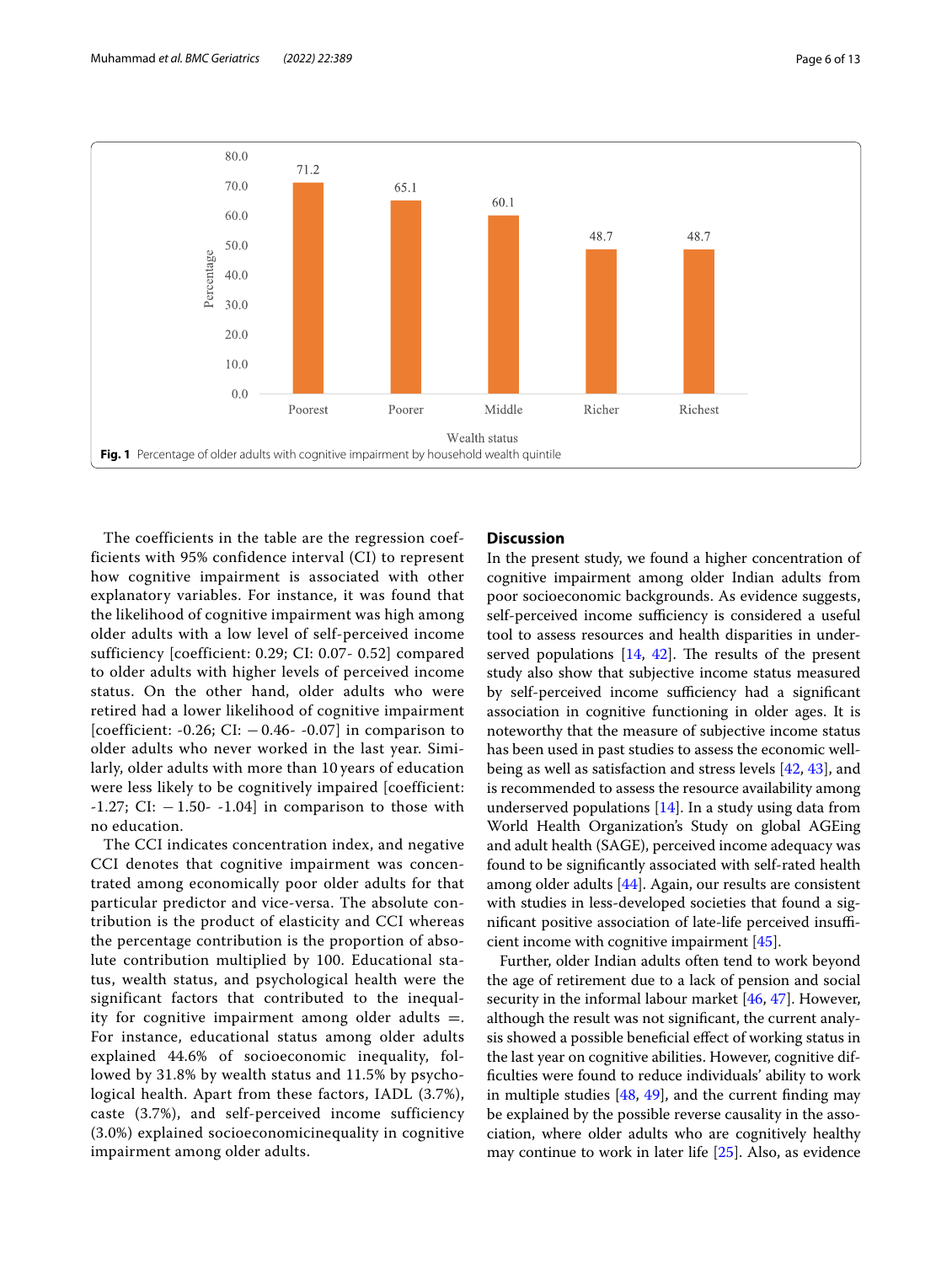

<span id="page-5-0"></span>The coefficients in the table are the regression coefficients with 95% confidence interval (CI) to represent how cognitive impairment is associated with other explanatory variables. For instance, it was found that the likelihood of cognitive impairment was high among older adults with a low level of self-perceived income sufficiency [coefficient: 0.29; CI: 0.07- 0.52] compared to older adults with higher levels of perceived income status. On the other hand, older adults who were retired had a lower likelihood of cognitive impairment [coefficient: -0.26; CI:  $-0.46$ - -0.07] in comparison to older adults who never worked in the last year. Similarly, older adults with more than 10 years of education were less likely to be cognitively impaired [coefficient:  $-1.27$ ; CI:  $-1.50$ -  $-1.04$ ] in comparison to those with no education.

The CCI indicates concentration index, and negative CCI denotes that cognitive impairment was concentrated among economically poor older adults for that particular predictor and vice-versa. The absolute contribution is the product of elasticity and CCI whereas the percentage contribution is the proportion of absolute contribution multiplied by 100. Educational status, wealth status, and psychological health were the significant factors that contributed to the inequality for cognitive impairment among older adults  $=$ . For instance, educational status among older adults explained 44.6% of socioeconomic inequality, followed by 31.8% by wealth status and 11.5% by psychological health. Apart from these factors, IADL (3.7%), caste (3.7%), and self-perceived income sufficiency (3.0%) explained socioeconomicinequality in cognitive impairment among older adults.

## **Discussion**

In the present study, we found a higher concentration of cognitive impairment among older Indian adults from poor socioeconomic backgrounds. As evidence suggests, self-perceived income sufficiency is considered a useful tool to assess resources and health disparities in underserved populations  $[14, 42]$  $[14, 42]$  $[14, 42]$  $[14, 42]$ . The results of the present study also show that subjective income status measured by self-perceived income sufficiency had a significant association in cognitive functioning in older ages. It is noteworthy that the measure of subjective income status has been used in past studies to assess the economic wellbeing as well as satisfaction and stress levels [[42,](#page-11-21) [43](#page-11-22)], and is recommended to assess the resource availability among underserved populations  $[14]$  $[14]$ . In a study using data from World Health Organization's Study on global AGEing and adult health (SAGE), perceived income adequacy was found to be signifcantly associated with self-rated health among older adults [\[44](#page-11-23)]. Again, our results are consistent with studies in less-developed societies that found a significant positive association of late-life perceived insufficient income with cognitive impairment [[45\]](#page-11-24).

Further, older Indian adults often tend to work beyond the age of retirement due to a lack of pension and social security in the informal labour market [[46](#page-11-25), [47](#page-11-26)]. However, although the result was not signifcant, the current analysis showed a possible benefcial efect of working status in the last year on cognitive abilities. However, cognitive diffculties were found to reduce individuals' ability to work in multiple studies  $[48, 49]$  $[48, 49]$  $[48, 49]$  $[48, 49]$ , and the current finding may be explained by the possible reverse causality in the association, where older adults who are cognitively healthy may continue to work in later life [\[25](#page-11-29)]. Also, as evidence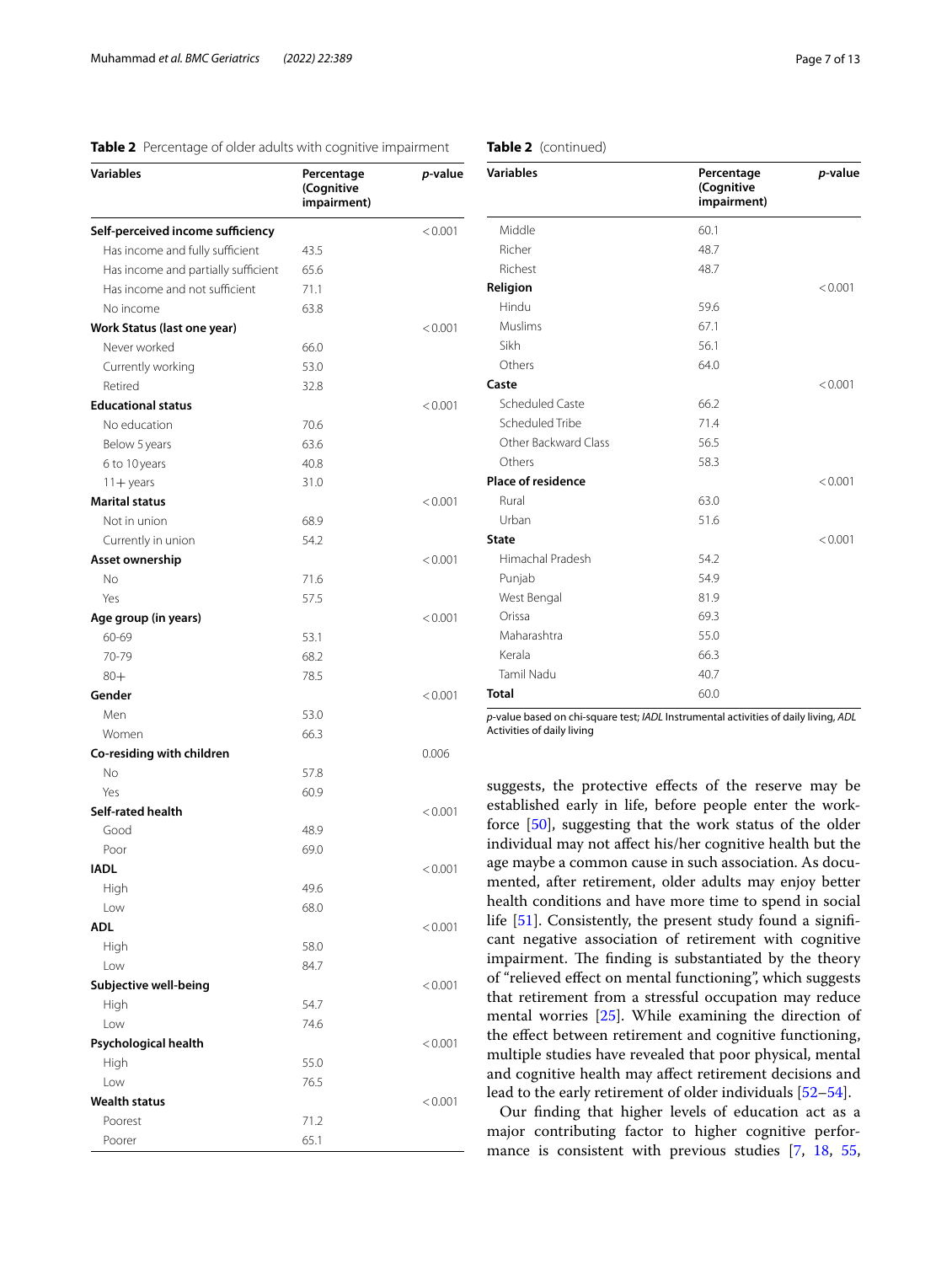# <span id="page-6-0"></span>**Table 2** Percentage of older adults with cognitive impairment

| <b>Variables</b>                    | Percentage<br>(Cognitive<br>impairment) | <i>p</i> -value |
|-------------------------------------|-----------------------------------------|-----------------|
| Self-perceived income sufficiency   |                                         | < 0.001         |
| Has income and fully sufficient     | 43.5                                    |                 |
| Has income and partially sufficient | 65.6                                    |                 |
| Has income and not sufficient       | 71.1                                    |                 |
| No income                           | 63.8                                    |                 |
| Work Status (last one year)         |                                         | < 0.001         |
| Never worked                        | 66.0                                    |                 |
| Currently working                   | 53.0                                    |                 |
| Retired                             | 32.8                                    |                 |
| <b>Educational status</b>           |                                         | < 0.001         |
| No education                        | 70.6                                    |                 |
| Below 5 years                       | 63.6                                    |                 |
| 6 to 10 years                       | 40.8                                    |                 |
| $11 +$ years                        | 31.0                                    |                 |
| <b>Marital status</b>               |                                         | < 0.001         |
| Not in union                        | 68.9                                    |                 |
| Currently in union                  | 54.2                                    |                 |
| Asset ownership                     |                                         | < 0.001         |
| No                                  | 71.6                                    |                 |
| Yes                                 | 57.5                                    |                 |
| Age group (in years)                |                                         | < 0.001         |
| 60-69                               | 53.1                                    |                 |
| 70-79                               | 68.2                                    |                 |
| $80 +$                              | 78.5                                    |                 |
| Gender                              |                                         | < 0.001         |
| Men                                 | 53.0                                    |                 |
| Women                               | 66.3                                    |                 |
| Co-residing with children           |                                         | 0.006           |
| <b>No</b>                           | 57.8                                    |                 |
| Yes                                 | 60.9                                    |                 |
| Self-rated health                   |                                         | < 0.001         |
| Good                                | 48.9                                    |                 |
| Poor                                | 69.0                                    |                 |
| <b>IADL</b>                         |                                         | < 0.001         |
| High                                | 49.6                                    |                 |
| Low                                 | 68.0                                    |                 |
| <b>ADL</b>                          |                                         | < 0.001         |
| High                                | 58.0                                    |                 |
| Low                                 | 84.7                                    |                 |
| Subjective well-being               |                                         | < 0.001         |
| High                                | 54.7                                    |                 |
| Low                                 | 74.6                                    |                 |
|                                     |                                         | < 0.001         |
| Psychological health<br>High        | 55.0                                    |                 |
|                                     |                                         |                 |
| Low<br><b>Wealth status</b>         | 76.5                                    |                 |
| Poorest                             | 71.2                                    | < 0.001         |
|                                     |                                         |                 |
| Poorer                              | 65.1                                    |                 |

|  | Table 2 (continued) |
|--|---------------------|
|--|---------------------|

| <b>Variables</b>          | Percentage<br>(Cognitive<br>impairment) | p-value |
|---------------------------|-----------------------------------------|---------|
| Middle                    | 60.1                                    |         |
| Richer                    | 48.7                                    |         |
| Richest                   | 48.7                                    |         |
| Religion                  |                                         | < 0.001 |
| Hindu                     | 59.6                                    |         |
| Muslims                   | 67.1                                    |         |
| Sikh                      | 56.1                                    |         |
| Others                    | 64.0                                    |         |
| Caste                     |                                         | < 0.001 |
| Scheduled Caste           | 66.2                                    |         |
| Scheduled Tribe           | 71.4                                    |         |
| Other Backward Class      | 56.5                                    |         |
| Others                    | 58.3                                    |         |
| <b>Place of residence</b> |                                         | < 0.001 |
| Rural                     | 63.0                                    |         |
| Urban                     | 51.6                                    |         |
| <b>State</b>              |                                         | < 0.001 |
| Himachal Pradesh          | 54.2                                    |         |
| Punjab                    | 54.9                                    |         |
| West Bengal               | 81.9                                    |         |
| Orissa                    | 69.3                                    |         |
| Maharashtra               | 55.0                                    |         |
| Kerala                    | 66.3                                    |         |
| <b>Tamil Nadu</b>         | 40.7                                    |         |
| <b>Total</b>              | 60.0                                    |         |

*p*-value based on chi-square test; *IADL* Instrumental activities of daily living, *ADL* Activities of daily living

suggests, the protective efects of the reserve may be established early in life, before people enter the workforce [\[50](#page-11-30)], suggesting that the work status of the older individual may not afect his/her cognitive health but the age maybe a common cause in such association. As documented, after retirement, older adults may enjoy better health conditions and have more time to spend in social life [[51\]](#page-11-31). Consistently, the present study found a signifcant negative association of retirement with cognitive impairment. The finding is substantiated by the theory of "relieved efect on mental functioning", which suggests that retirement from a stressful occupation may reduce mental worries [[25](#page-11-29)]. While examining the direction of the effect between retirement and cognitive functioning, multiple studies have revealed that poor physical, mental and cognitive health may afect retirement decisions and lead to the early retirement of older individuals [[52–](#page-11-32)[54\]](#page-11-33).

Our fnding that higher levels of education act as a major contributing factor to higher cognitive performance is consistent with previous studies [[7,](#page-10-13) [18,](#page-11-0) [55](#page-11-34),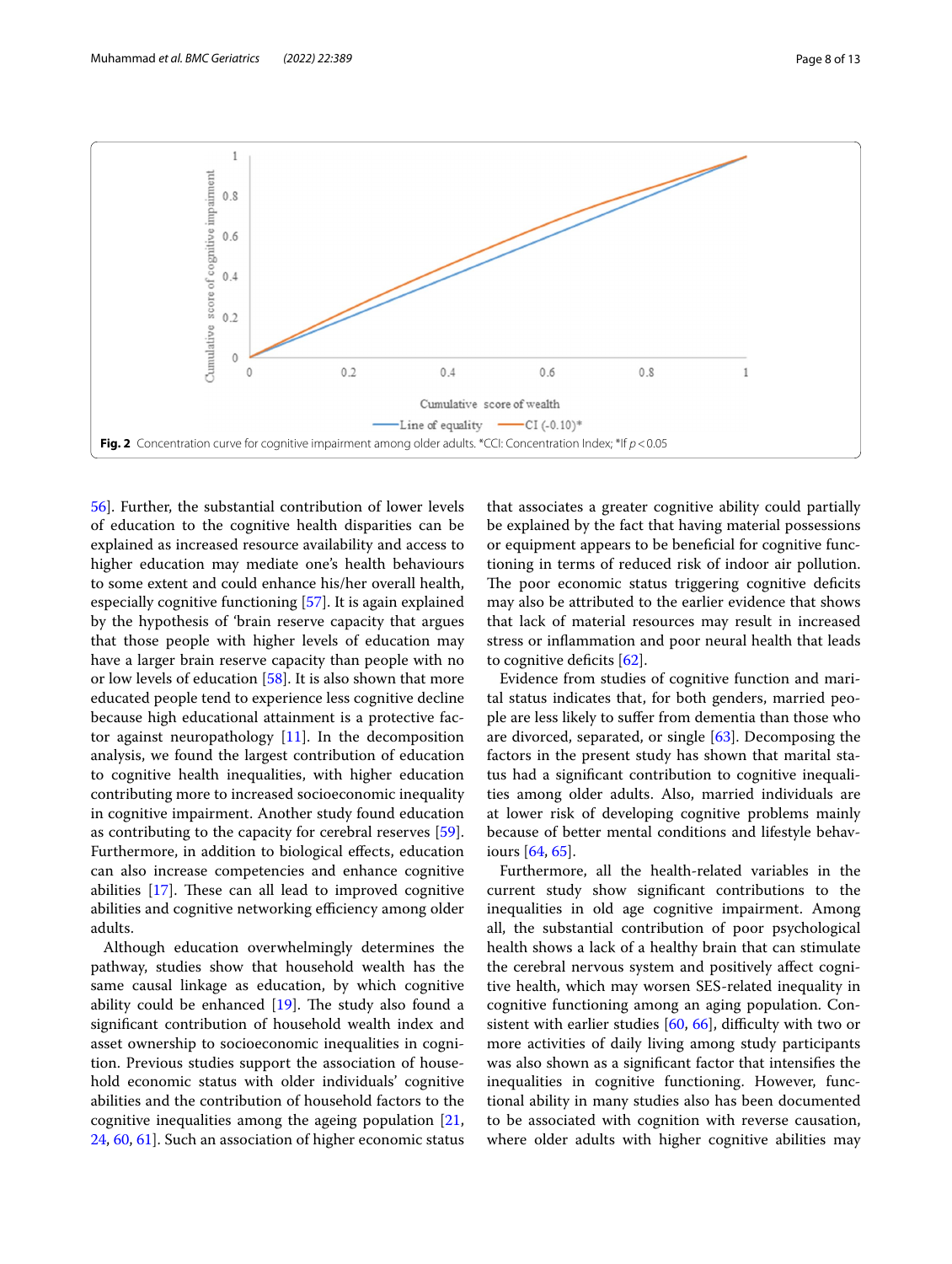

<span id="page-7-0"></span>[56\]](#page-11-35). Further, the substantial contribution of lower levels of education to the cognitive health disparities can be explained as increased resource availability and access to higher education may mediate one's health behaviours to some extent and could enhance his/her overall health, especially cognitive functioning [[57](#page-11-36)]. It is again explained by the hypothesis of 'brain reserve capacity that argues that those people with higher levels of education may have a larger brain reserve capacity than people with no or low levels of education [\[58\]](#page-11-37). It is also shown that more educated people tend to experience less cognitive decline because high educational attainment is a protective factor against neuropathology  $[11]$  $[11]$ . In the decomposition analysis, we found the largest contribution of education to cognitive health inequalities, with higher education contributing more to increased socioeconomic inequality in cognitive impairment. Another study found education as contributing to the capacity for cerebral reserves [\[59](#page-11-38)]. Furthermore, in addition to biological effects, education can also increase competencies and enhance cognitive abilities  $[17]$  $[17]$ . These can all lead to improved cognitive abilities and cognitive networking efficiency among older adults.

Although education overwhelmingly determines the pathway, studies show that household wealth has the same causal linkage as education, by which cognitive ability could be enhanced  $[19]$  $[19]$ . The study also found a signifcant contribution of household wealth index and asset ownership to socioeconomic inequalities in cognition. Previous studies support the association of household economic status with older individuals' cognitive abilities and the contribution of household factors to the cognitive inequalities among the ageing population  $[21]$  $[21]$ , [24,](#page-11-4) [60,](#page-11-41) [61](#page-11-42)]. Such an association of higher economic status that associates a greater cognitive ability could partially be explained by the fact that having material possessions or equipment appears to be benefcial for cognitive functioning in terms of reduced risk of indoor air pollution. The poor economic status triggering cognitive deficits may also be attributed to the earlier evidence that shows that lack of material resources may result in increased stress or infammation and poor neural health that leads to cognitive deficits  $[62]$  $[62]$ .

Evidence from studies of cognitive function and marital status indicates that, for both genders, married people are less likely to sufer from dementia than those who are divorced, separated, or single [\[63](#page-11-44)]. Decomposing the factors in the present study has shown that marital status had a signifcant contribution to cognitive inequalities among older adults. Also, married individuals are at lower risk of developing cognitive problems mainly because of better mental conditions and lifestyle behaviours [[64,](#page-11-45) [65](#page-11-46)].

Furthermore, all the health-related variables in the current study show signifcant contributions to the inequalities in old age cognitive impairment. Among all, the substantial contribution of poor psychological health shows a lack of a healthy brain that can stimulate the cerebral nervous system and positively afect cognitive health, which may worsen SES-related inequality in cognitive functioning among an aging population. Consistent with earlier studies  $[60, 66]$  $[60, 66]$  $[60, 66]$  $[60, 66]$  $[60, 66]$ , difficulty with two or more activities of daily living among study participants was also shown as a signifcant factor that intensifes the inequalities in cognitive functioning. However, functional ability in many studies also has been documented to be associated with cognition with reverse causation, where older adults with higher cognitive abilities may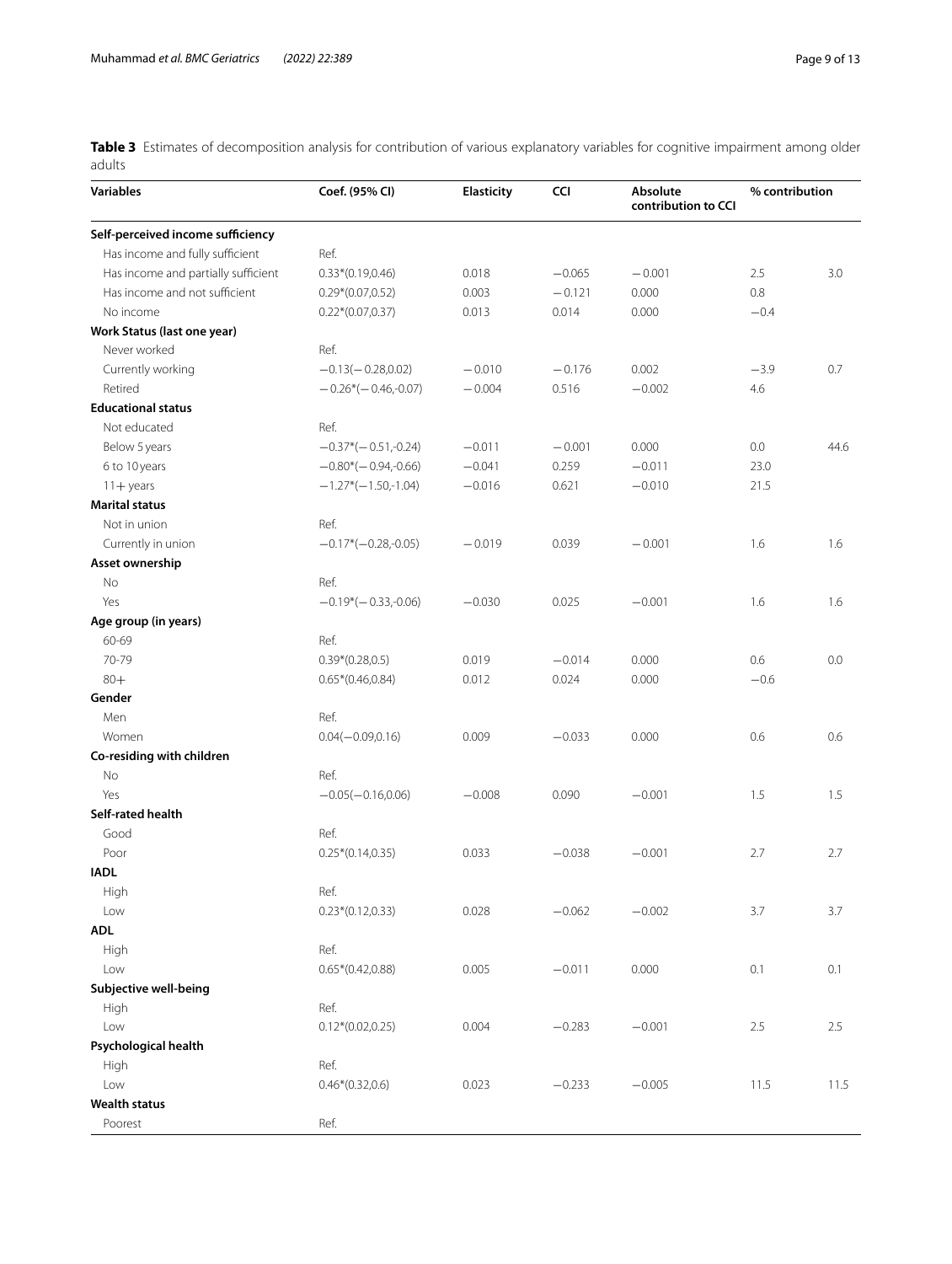<span id="page-8-0"></span>**Table 3** Estimates of decomposition analysis for contribution of various explanatory variables for cognitive impairment among older adults

| <b>Variables</b>                    | Coef. (95% CI)        | Elasticity | <b>CCI</b> | Absolute<br>contribution to CCI | % contribution |      |
|-------------------------------------|-----------------------|------------|------------|---------------------------------|----------------|------|
| Self-perceived income sufficiency   |                       |            |            |                                 |                |      |
| Has income and fully sufficient     | Ref.                  |            |            |                                 |                |      |
| Has income and partially sufficient | $0.33*(0.19,0.46)$    | 0.018      | $-0.065$   | $-0.001$                        | 2.5            | 3.0  |
| Has income and not sufficient       | $0.29*(0.07, 0.52)$   | 0.003      | $-0.121$   | 0.000                           | 0.8            |      |
| No income                           | $0.22*(0.07, 0.37)$   | 0.013      | 0.014      | 0.000                           | $-0.4$         |      |
| Work Status (last one year)         |                       |            |            |                                 |                |      |
| Never worked                        | Ref.                  |            |            |                                 |                |      |
| Currently working                   | $-0.13(-0.28,0.02)$   | $-0.010$   | $-0.176$   | 0.002                           | $-3.9$         | 0.7  |
| Retired                             | $-0.26*(-0.46,-0.07)$ | $-0.004$   | 0.516      | $-0.002$                        | 4.6            |      |
| <b>Educational status</b>           |                       |            |            |                                 |                |      |
| Not educated                        | Ref.                  |            |            |                                 |                |      |
| Below 5 years                       | $-0.37*(-0.51,-0.24)$ | $-0.011$   | $-0.001$   | 0.000                           | 0.0            | 44.6 |
| 6 to 10 years                       | $-0.80*(-0.94,-0.66)$ | $-0.041$   | 0.259      | $-0.011$                        | 23.0           |      |
| $11 +$ years                        | $-1.27*(-1.50,-1.04)$ | $-0.016$   | 0.621      | $-0.010$                        | 21.5           |      |
| <b>Marital status</b>               |                       |            |            |                                 |                |      |
| Not in union                        | Ref.                  |            |            |                                 |                |      |
| Currently in union                  | $-0.17*(-0.28,-0.05)$ | $-0.019$   | 0.039      | $-0.001$                        | 1.6            | 1.6  |
| Asset ownership                     |                       |            |            |                                 |                |      |
| No                                  | Ref.                  |            |            |                                 |                |      |
| Yes                                 | $-0.19*(-0.33,-0.06)$ | $-0.030$   | 0.025      | $-0.001$                        | 1.6            | 1.6  |
| Age group (in years)                |                       |            |            |                                 |                |      |
| 60-69                               | Ref.                  |            |            |                                 |                |      |
| 70-79                               | $0.39*(0.28, 0.5)$    | 0.019      | $-0.014$   | 0.000                           | 0.6            | 0.0  |
| $80+$                               | $0.65*(0.46, 0.84)$   | 0.012      | 0.024      | 0.000                           | $-0.6$         |      |
| Gender                              |                       |            |            |                                 |                |      |
| Men                                 | Ref.                  |            |            |                                 |                |      |
| Women                               | $0.04(-0.09, 0.16)$   | 0.009      | $-0.033$   | 0.000                           | 0.6            | 0.6  |
| Co-residing with children           |                       |            |            |                                 |                |      |
| No                                  | Ref.                  |            |            |                                 |                |      |
| Yes                                 | $-0.05(-0.16, 0.06)$  | $-0.008$   | 0.090      | $-0.001$                        | 1.5            | 1.5  |
| Self-rated health                   |                       |            |            |                                 |                |      |
| Good                                | Ref.                  |            |            |                                 |                |      |
| Poor                                | $0.25*(0.14, 0.35)$   | 0.033      | $-0.038$   | $-0.001$                        | 2.7            | 2.7  |
| <b>IADL</b>                         |                       |            |            |                                 |                |      |
| High                                | Ref.                  |            |            |                                 |                |      |
| Low                                 | $0.23*(0.12,0.33)$    | 0.028      | $-0.062$   | $-0.002$                        | 3.7            | 3.7  |
| <b>ADL</b>                          |                       |            |            |                                 |                |      |
| High                                | Ref.                  |            |            |                                 |                |      |
| Low                                 | $0.65*(0.42, 0.88)$   | 0.005      | $-0.011$   | 0.000                           | 0.1            | 0.1  |
| Subjective well-being               |                       |            |            |                                 |                |      |
| High                                | Ref.                  |            |            |                                 |                |      |
| Low                                 | $0.12*(0.02, 0.25)$   | 0.004      | $-0.283$   | $-0.001$                        | $2.5\,$        | 2.5  |
| Psychological health                |                       |            |            |                                 |                |      |
| High                                | Ref.                  |            |            |                                 |                |      |
| Low                                 | $0.46*(0.32,0.6)$     | 0.023      | $-0.233$   | $-0.005$                        | 11.5           | 11.5 |
| <b>Wealth status</b>                |                       |            |            |                                 |                |      |
| Poorest                             | Ref.                  |            |            |                                 |                |      |
|                                     |                       |            |            |                                 |                |      |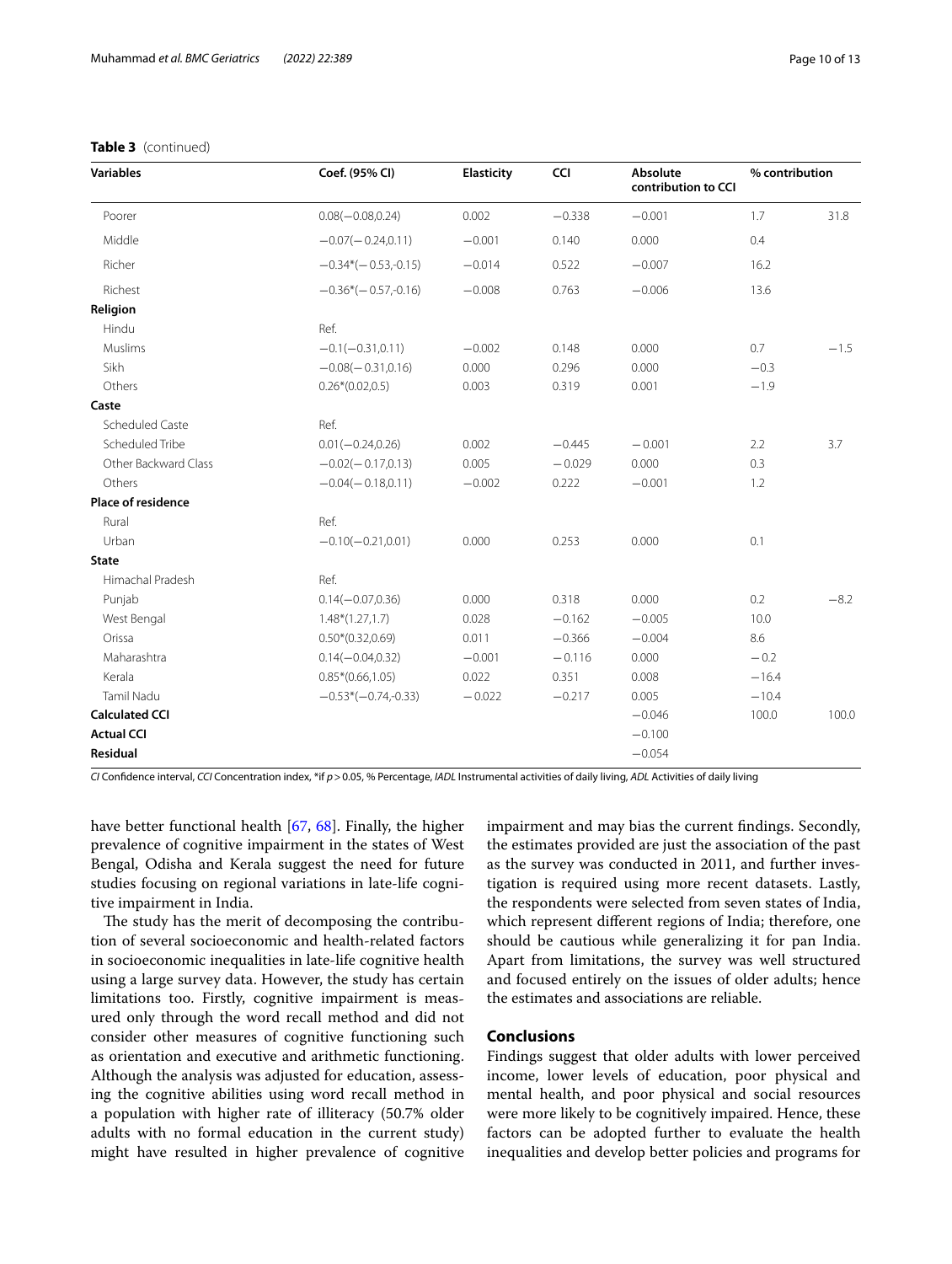## **Table 3** (continued)

| <b>Variables</b>          | Coef. (95% CI)        | <b>Elasticity</b> | CCI      | Absolute<br>contribution to CCI | % contribution |        |
|---------------------------|-----------------------|-------------------|----------|---------------------------------|----------------|--------|
| Poorer                    | $0.08(-0.08, 0.24)$   | 0.002             | $-0.338$ | $-0.001$                        | 1.7            | 31.8   |
| Middle                    | $-0.07(-0.24,0.11)$   | $-0.001$          | 0.140    | 0.000                           | 0.4            |        |
| Richer                    | $-0.34*(-0.53,-0.15)$ | $-0.014$          | 0.522    | $-0.007$                        | 16.2           |        |
| Richest                   | $-0.36*(-0.57,-0.16)$ | $-0.008$          | 0.763    | $-0.006$                        | 13.6           |        |
| Religion                  |                       |                   |          |                                 |                |        |
| Hindu                     | Ref.                  |                   |          |                                 |                |        |
| Muslims                   | $-0.1(-0.31, 0.11)$   | $-0.002$          | 0.148    | 0.000                           | 0.7            | $-1.5$ |
| Sikh                      | $-0.08(-0.31, 0.16)$  | 0.000             | 0.296    | 0.000                           | $-0.3$         |        |
| Others                    | $0.26*(0.02,0.5)$     | 0.003             | 0.319    | 0.001                           | $-1.9$         |        |
| Caste                     |                       |                   |          |                                 |                |        |
| Scheduled Caste           | Ref.                  |                   |          |                                 |                |        |
| Scheduled Tribe           | $0.01(-0.24, 0.26)$   | 0.002             | $-0.445$ | $-0.001$                        | 2.2            | 3.7    |
| Other Backward Class      | $-0.02(-0.17,0.13)$   | 0.005             | $-0.029$ | 0.000                           | 0.3            |        |
| Others                    | $-0.04(-0.18,0.11)$   | $-0.002$          | 0.222    | $-0.001$                        | 1.2            |        |
| <b>Place of residence</b> |                       |                   |          |                                 |                |        |
| Rural                     | Ref.                  |                   |          |                                 |                |        |
| Urban                     | $-0.10(-0.21, 0.01)$  | 0.000             | 0.253    | 0.000                           | 0.1            |        |
| <b>State</b>              |                       |                   |          |                                 |                |        |
| Himachal Pradesh          | Ref.                  |                   |          |                                 |                |        |
| Punjab                    | $0.14(-0.07, 0.36)$   | 0.000             | 0.318    | 0.000                           | 0.2            | $-8.2$ |
| West Bengal               | $1.48*(1.27,1.7)$     | 0.028             | $-0.162$ | $-0.005$                        | 10.0           |        |
| Orissa                    | $0.50*(0.32,0.69)$    | 0.011             | $-0.366$ | $-0.004$                        | 8.6            |        |
| Maharashtra               | $0.14(-0.04, 0.32)$   | $-0.001$          | $-0.116$ | 0.000                           | $-0.2$         |        |
| Kerala                    | $0.85*(0.66, 1.05)$   | 0.022             | 0.351    | 0.008                           | $-16.4$        |        |
| Tamil Nadu                | $-0.53*(-0.74,-0.33)$ | $-0.022$          | $-0.217$ | 0.005                           | $-10.4$        |        |
| <b>Calculated CCI</b>     |                       |                   |          | $-0.046$                        | 100.0          | 100.0  |
| <b>Actual CCI</b>         |                       |                   |          | $-0.100$                        |                |        |
| Residual                  |                       |                   |          | $-0.054$                        |                |        |

*CI* Confdence interval, *CCI* Concentration index, \*if *p*>0.05, % Percentage, *IADL* Instrumental activities of daily living, *ADL* Activities of daily living

have better functional health [[67](#page-11-48), [68\]](#page-12-0). Finally, the higher prevalence of cognitive impairment in the states of West Bengal, Odisha and Kerala suggest the need for future studies focusing on regional variations in late-life cognitive impairment in India.

The study has the merit of decomposing the contribution of several socioeconomic and health-related factors in socioeconomic inequalities in late-life cognitive health using a large survey data. However, the study has certain limitations too. Firstly, cognitive impairment is measured only through the word recall method and did not consider other measures of cognitive functioning such as orientation and executive and arithmetic functioning. Although the analysis was adjusted for education, assessing the cognitive abilities using word recall method in a population with higher rate of illiteracy (50.7% older adults with no formal education in the current study) might have resulted in higher prevalence of cognitive impairment and may bias the current fndings. Secondly, the estimates provided are just the association of the past as the survey was conducted in 2011, and further investigation is required using more recent datasets. Lastly, the respondents were selected from seven states of India, which represent diferent regions of India; therefore, one should be cautious while generalizing it for pan India. Apart from limitations, the survey was well structured and focused entirely on the issues of older adults; hence the estimates and associations are reliable.

## **Conclusions**

Findings suggest that older adults with lower perceived income, lower levels of education, poor physical and mental health, and poor physical and social resources were more likely to be cognitively impaired. Hence, these factors can be adopted further to evaluate the health inequalities and develop better policies and programs for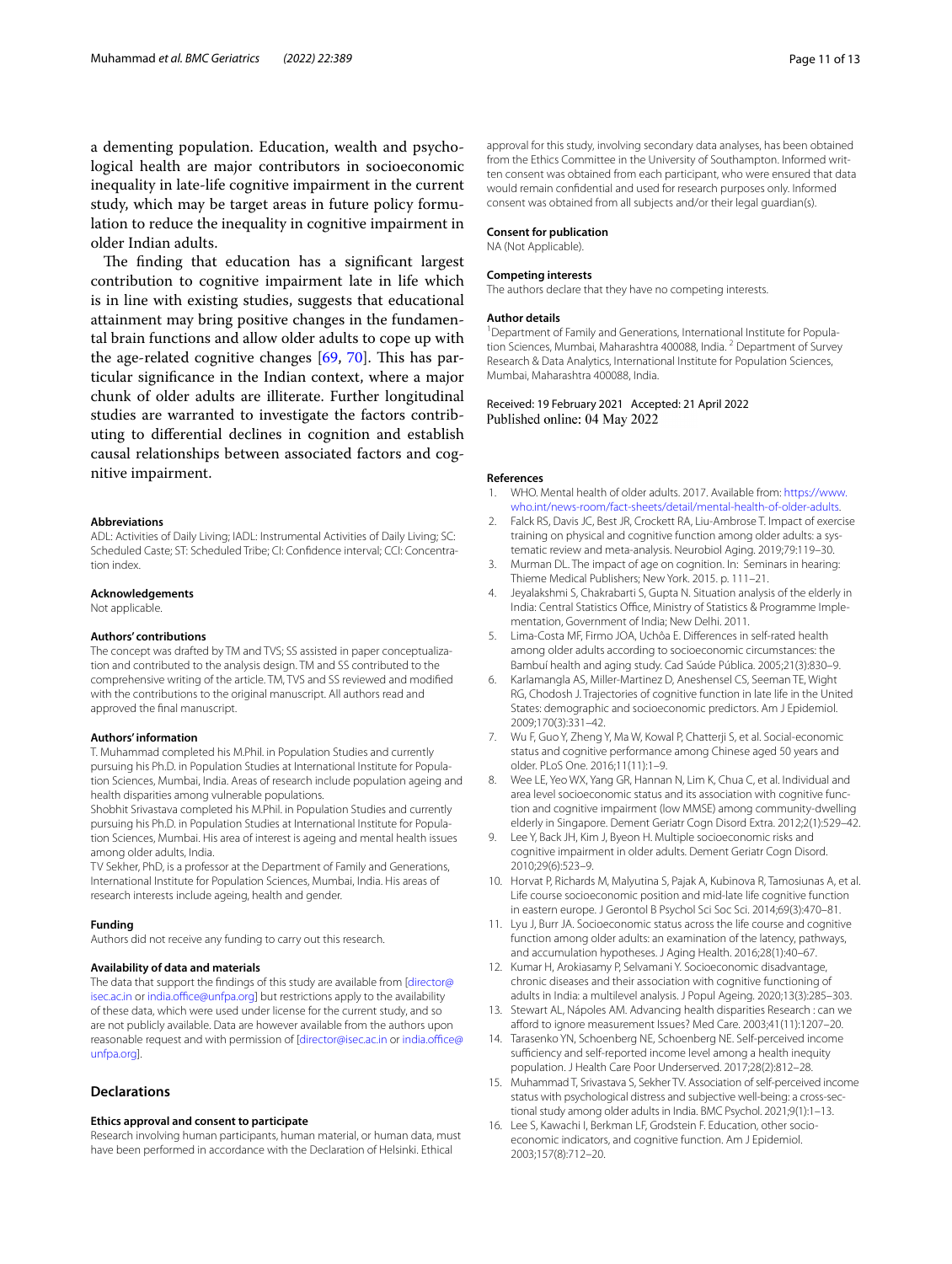a dementing population. Education, wealth and psychological health are major contributors in socioeconomic inequality in late-life cognitive impairment in the current study, which may be target areas in future policy formulation to reduce the inequality in cognitive impairment in older Indian adults.

The finding that education has a significant largest contribution to cognitive impairment late in life which is in line with existing studies, suggests that educational attainment may bring positive changes in the fundamental brain functions and allow older adults to cope up with the age-related cognitive changes  $[69, 70]$  $[69, 70]$  $[69, 70]$  $[69, 70]$ . This has particular signifcance in the Indian context, where a major chunk of older adults are illiterate. Further longitudinal studies are warranted to investigate the factors contributing to diferential declines in cognition and establish causal relationships between associated factors and cognitive impairment.

### **Abbreviations**

ADL: Activities of Daily Living; IADL: Instrumental Activities of Daily Living; SC: Scheduled Caste; ST: Scheduled Tribe; CI: Confdence interval; CCI: Concentration index.

#### **Acknowledgements**

Not applicable.

#### **Authors' contributions**

The concept was drafted by TM and TVS; SS assisted in paper conceptualization and contributed to the analysis design. TM and SS contributed to the comprehensive writing of the article. TM, TVS and SS reviewed and modifed with the contributions to the original manuscript. All authors read and approved the fnal manuscript.

#### **Authors' information**

T. Muhammad completed his M.Phil. in Population Studies and currently pursuing his Ph.D. in Population Studies at International Institute for Population Sciences, Mumbai, India. Areas of research include population ageing and health disparities among vulnerable populations.

Shobhit Srivastava completed his M.Phil. in Population Studies and currently pursuing his Ph.D. in Population Studies at International Institute for Population Sciences, Mumbai. His area of interest is ageing and mental health issues among older adults, India.

TV Sekher, PhD, is a professor at the Department of Family and Generations, International Institute for Population Sciences, Mumbai, India. His areas of research interests include ageing, health and gender.

#### **Funding**

Authors did not receive any funding to carry out this research.

#### **Availability of data and materials**

The data that support the findings of this study are available from [\[director@](director@isec.ac.in) [isec.ac.in](director@isec.ac.in) or india.office@unfpa.org] but restrictions apply to the availability of these data, which were used under license for the current study, and so are not publicly available. Data are however available from the authors upon reasonable request and with permission of [<director@isec.ac.in> or india.office@ [unfpa.org\]](india.office@unfpa.org).

## **Declarations**

### **Ethics approval and consent to participate**

Research involving human participants, human material, or human data, must have been performed in accordance with the Declaration of Helsinki. Ethical

approval for this study, involving secondary data analyses, has been obtained from the Ethics Committee in the University of Southampton. Informed written consent was obtained from each participant, who were ensured that data would remain confdential and used for research purposes only. Informed consent was obtained from all subjects and/or their legal guardian(s).

#### **Consent for publication**

NA (Not Applicable).

#### **Competing interests**

The authors declare that they have no competing interests.

#### **Author details**

<sup>1</sup> Department of Family and Generations, International Institute for Population Sciences, Mumbai, Maharashtra 400088, India.<sup>2</sup> Department of Survey Research & Data Analytics, International Institute for Population Sciences, Mumbai, Maharashtra 400088, India.

Received: 19 February 2021 Accepted: 21 April 2022 Published online: 04 May 2022

### **References**

- <span id="page-10-0"></span>WHO. Mental health of older adults. 2017. Available from: [https://www.](https://www.who.int/news-room/fact-sheets/detail/mental-health-of-older-adults) [who.int/news-room/fact-sheets/detail/mental-health-of-older-adults](https://www.who.int/news-room/fact-sheets/detail/mental-health-of-older-adults).
- <span id="page-10-1"></span>2. Falck RS, Davis JC, Best JR, Crockett RA, Liu-Ambrose T. Impact of exercise training on physical and cognitive function among older adults: a systematic review and meta-analysis. Neurobiol Aging. 2019;79:119–30.
- <span id="page-10-2"></span>Murman DL. The impact of age on cognition. In: Seminars in hearing: Thieme Medical Publishers; New York. 2015. p. 111–21.
- <span id="page-10-3"></span>4. Jeyalakshmi S, Chakrabarti S, Gupta N. Situation analysis of the elderly in India: Central Statistics Office, Ministry of Statistics & Programme Implementation, Government of India; New Delhi. 2011.
- <span id="page-10-4"></span>5. Lima-Costa MF, Firmo JOA, Uchôa E. Diferences in self-rated health among older adults according to socioeconomic circumstances: the Bambuí health and aging study. Cad Saúde Pública. 2005;21(3):830–9.
- <span id="page-10-5"></span>6. Karlamangla AS, Miller-Martinez D, Aneshensel CS, Seeman TE, Wight RG, Chodosh J. Trajectories of cognitive function in late life in the United States: demographic and socioeconomic predictors. Am J Epidemiol. 2009;170(3):331–42.
- <span id="page-10-13"></span>7. Wu F, Guo Y, Zheng Y, Ma W, Kowal P, Chatterji S, et al. Social-economic status and cognitive performance among Chinese aged 50 years and older. PLoS One. 2016;11(11):1–9.
- 8. Wee LE, Yeo WX, Yang GR, Hannan N, Lim K, Chua C, et al. Individual and area level socioeconomic status and its association with cognitive function and cognitive impairment (low MMSE) among community-dwelling elderly in Singapore. Dement Geriatr Cogn Disord Extra. 2012;2(1):529–42.
- <span id="page-10-6"></span>Lee Y, Back JH, Kim J, Byeon H. Multiple socioeconomic risks and cognitive impairment in older adults. Dement Geriatr Cogn Disord. 2010;29(6):523–9.
- <span id="page-10-7"></span>10. Horvat P, Richards M, Malyutina S, Pajak A, Kubinova R, Tamosiunas A, et al. Life course socioeconomic position and mid-late life cognitive function in eastern europe. J Gerontol B Psychol Sci Soc Sci. 2014;69(3):470–81.
- <span id="page-10-14"></span>11. Lyu J, Burr JA. Socioeconomic status across the life course and cognitive function among older adults: an examination of the latency, pathways, and accumulation hypotheses. J Aging Health. 2016;28(1):40–67.
- <span id="page-10-8"></span>12. Kumar H, Arokiasamy P, Selvamani Y. Socioeconomic disadvantage, chronic diseases and their association with cognitive functioning of adults in India: a multilevel analysis. J Popul Ageing. 2020;13(3):285–303.
- <span id="page-10-9"></span>13. Stewart AL, Nápoles AM. Advancing health disparities Research : can we aford to ignore measurement Issues? Med Care. 2003;41(11):1207–20.
- <span id="page-10-10"></span>14. Tarasenko YN, Schoenberg NE, Schoenberg NE. Self-perceived income sufficiency and self-reported income level among a health inequity population. J Health Care Poor Underserved. 2017;28(2):812–28.
- <span id="page-10-11"></span>15. Muhammad T, Srivastava S, Sekher TV. Association of self-perceived income status with psychological distress and subjective well-being: a cross-sectional study among older adults in India. BMC Psychol. 2021;9(1):1–13.
- <span id="page-10-12"></span>16. Lee S, Kawachi I, Berkman LF, Grodstein F. Education, other socioeconomic indicators, and cognitive function. Am J Epidemiol. 2003;157(8):712–20.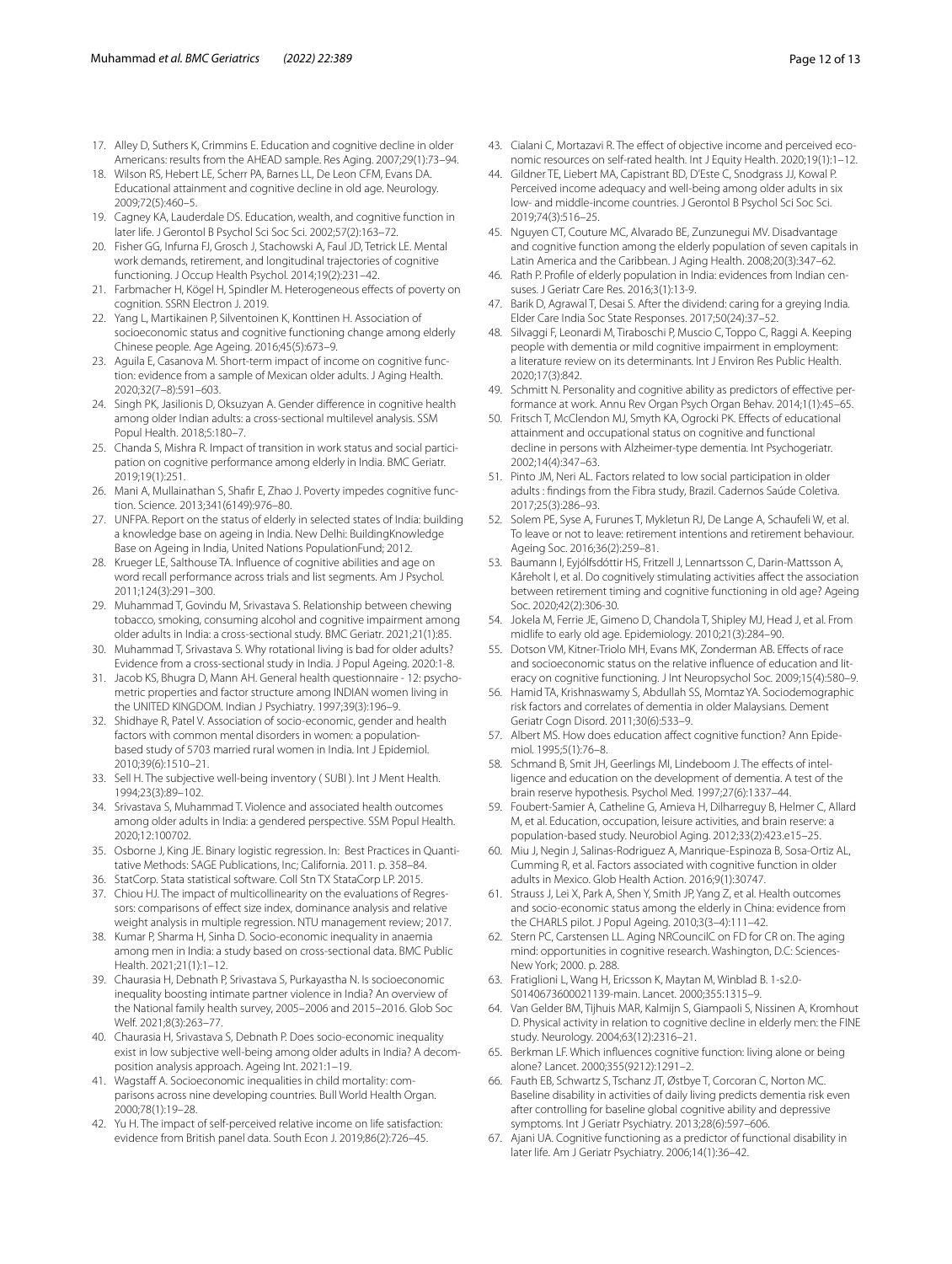- <span id="page-11-39"></span>17. Alley D, Suthers K, Crimmins E. Education and cognitive decline in older Americans: results from the AHEAD sample. Res Aging. 2007;29(1):73–94.
- <span id="page-11-0"></span>18. Wilson RS, Hebert LE, Scherr PA, Barnes LL, De Leon CFM, Evans DA. Educational attainment and cognitive decline in old age. Neurology. 2009;72(5):460–5.
- <span id="page-11-1"></span>19. Cagney KA, Lauderdale DS. Education, wealth, and cognitive function in later life. J Gerontol B Psychol Sci Soc Sci. 2002;57(2):163–72.
- <span id="page-11-2"></span>20. Fisher GG, Infurna FJ, Grosch J, Stachowski A, Faul JD, Tetrick LE. Mental work demands, retirement, and longitudinal trajectories of cognitive functioning. J Occup Health Psychol. 2014;19(2):231–42.
- <span id="page-11-40"></span>21. Farbmacher H, Kögel H, Spindler M. Heterogeneous efects of poverty on cognition. SSRN Electron J. 2019.
- 22. Yang L, Martikainen P, Silventoinen K, Konttinen H. Association of socioeconomic status and cognitive functioning change among elderly Chinese people. Age Ageing. 2016;45(5):673–9.
- <span id="page-11-3"></span>23. Aguila E, Casanova M. Short-term impact of income on cognitive function: evidence from a sample of Mexican older adults. J Aging Health. 2020;32(7–8):591–603.
- <span id="page-11-4"></span>24. Singh PK, Jasilionis D, Oksuzyan A. Gender diference in cognitive health among older Indian adults: a cross-sectional multilevel analysis. SSM Popul Health. 2018;5:180–7.
- <span id="page-11-29"></span>25. Chanda S, Mishra R. Impact of transition in work status and social participation on cognitive performance among elderly in India. BMC Geriatr. 2019;19(1):251.
- <span id="page-11-5"></span>26. Mani A, Mullainathan S, Shafr E, Zhao J. Poverty impedes cognitive function. Science. 2013;341(6149):976–80.
- <span id="page-11-6"></span>27. UNFPA. Report on the status of elderly in selected states of India: building a knowledge base on ageing in India. New Delhi: BuildingKnowledge Base on Ageing in India, United Nations PopulationFund; 2012.
- <span id="page-11-7"></span>28. Krueger LE, Salthouse TA. Infuence of cognitive abilities and age on word recall performance across trials and list segments. Am J Psychol. 2011;124(3):291–300.
- <span id="page-11-8"></span>29. Muhammad T, Govindu M, Srivastava S. Relationship between chewing tobacco, smoking, consuming alcohol and cognitive impairment among older adults in India: a cross-sectional study. BMC Geriatr. 2021;21(1):85.
- <span id="page-11-9"></span>30. Muhammad T, Srivastava S. Why rotational living is bad for older adults? Evidence from a cross-sectional study in India. J Popul Ageing. 2020:1-8.
- <span id="page-11-10"></span>31. Jacob KS, Bhugra D, Mann AH. General health questionnaire - 12: psychometric properties and factor structure among INDIAN women living in the UNITED KINGDOM. Indian J Psychiatry. 1997;39(3):196–9.
- <span id="page-11-11"></span>32. Shidhaye R, Patel V. Association of socio-economic, gender and health factors with common mental disorders in women: a populationbased study of 5703 married rural women in India. Int J Epidemiol. 2010;39(6):1510–21.
- <span id="page-11-12"></span>33. Sell H. The subjective well-being inventory ( SUBI ). Int J Ment Health. 1994;23(3):89–102.
- <span id="page-11-13"></span>34. Srivastava S, Muhammad T. Violence and associated health outcomes among older adults in India: a gendered perspective. SSM Popul Health. 2020;12:100702.
- <span id="page-11-14"></span>35. Osborne J, King JE. Binary logistic regression. In: Best Practices in Quantitative Methods: SAGE Publications, Inc; California. 2011. p. 358–84.
- <span id="page-11-15"></span>36. StatCorp. Stata statistical software. Coll Stn TX StataCorp LP. 2015.
- <span id="page-11-16"></span>37. Chiou HJ. The impact of multicollinearity on the evaluations of Regressors: comparisons of effect size index, dominance analysis and relative weight analysis in multiple regression. NTU management review; 2017.
- <span id="page-11-17"></span>38. Kumar P, Sharma H, Sinha D. Socio-economic inequality in anaemia among men in India: a study based on cross-sectional data. BMC Public Health. 2021;21(1):1–12.
- <span id="page-11-18"></span>39. Chaurasia H, Debnath P, Srivastava S, Purkayastha N. Is socioeconomic inequality boosting intimate partner violence in India? An overview of the National family health survey, 2005–2006 and 2015–2016. Glob Soc Welf. 2021;8(3):263–77.
- <span id="page-11-19"></span>40. Chaurasia H, Srivastava S, Debnath P. Does socio-economic inequality exist in low subjective well-being among older adults in India? A decomposition analysis approach. Ageing Int. 2021:1–19.
- <span id="page-11-20"></span>41. Wagstaff A. Socioeconomic inequalities in child mortality: comparisons across nine developing countries. Bull World Health Organ. 2000;78(1):19–28.
- <span id="page-11-21"></span>42. Yu H. The impact of self-perceived relative income on life satisfaction: evidence from British panel data. South Econ J. 2019;86(2):726–45.
- <span id="page-11-22"></span>43. Cialani C, Mortazavi R. The effect of objective income and perceived economic resources on self-rated health. Int J Equity Health. 2020;19(1):1–12.
- <span id="page-11-23"></span>44. Gildner TE, Liebert MA, Capistrant BD, D'Este C, Snodgrass JJ, Kowal P. Perceived income adequacy and well-being among older adults in six low- and middle-income countries. J Gerontol B Psychol Sci Soc Sci. 2019;74(3):516–25.
- <span id="page-11-24"></span>45. Nguyen CT, Couture MC, Alvarado BE, Zunzunegui MV. Disadvantage and cognitive function among the elderly population of seven capitals in Latin America and the Caribbean. J Aging Health. 2008;20(3):347–62.
- <span id="page-11-25"></span>46. Rath P. Profle of elderly population in India: evidences from Indian censuses. J Geriatr Care Res. 2016;3(1):13-9.
- <span id="page-11-26"></span>47. Barik D, Agrawal T, Desai S. After the dividend: caring for a greying India. Elder Care India Soc State Responses. 2017;50(24):37–52.
- <span id="page-11-27"></span>48. Silvaggi F, Leonardi M, Tiraboschi P, Muscio C, Toppo C, Raggi A. Keeping people with dementia or mild cognitive impairment in employment: a literature review on its determinants. Int J Environ Res Public Health. 2020;17(3):842.
- <span id="page-11-28"></span>49. Schmitt N. Personality and cognitive ability as predictors of effective performance at work. Annu Rev Organ Psych Organ Behav. 2014;1(1):45–65.
- <span id="page-11-30"></span>50. Fritsch T, McClendon MJ, Smyth KA, Ogrocki PK. Efects of educational attainment and occupational status on cognitive and functional decline in persons with Alzheimer-type dementia. Int Psychogeriatr. 2002;14(4):347–63.
- <span id="page-11-31"></span>51. Pinto JM, Neri AL. Factors related to low social participation in older adults : fndings from the Fibra study, Brazil. Cadernos Saúde Coletiva. 2017;25(3):286–93.
- <span id="page-11-32"></span>52. Solem PE, Syse A, Furunes T, Mykletun RJ, De Lange A, Schaufeli W, et al. To leave or not to leave: retirement intentions and retirement behaviour. Ageing Soc. 2016;36(2):259–81.
- 53. Baumann I, Eyjólfsdóttir HS, Fritzell J, Lennartsson C, Darin-Mattsson A, Kåreholt I, et al. Do cognitively stimulating activities afect the association between retirement timing and cognitive functioning in old age? Ageing Soc. 2020;42(2):306-30.
- <span id="page-11-33"></span>54. Jokela M, Ferrie JE, Gimeno D, Chandola T, Shipley MJ, Head J, et al. From midlife to early old age. Epidemiology. 2010;21(3):284–90.
- <span id="page-11-34"></span>55. Dotson VM, Kitner-Triolo MH, Evans MK, Zonderman AB. Efects of race and socioeconomic status on the relative infuence of education and literacy on cognitive functioning. J Int Neuropsychol Soc. 2009;15(4):580–9.
- <span id="page-11-35"></span>56. Hamid TA, Krishnaswamy S, Abdullah SS, Momtaz YA. Sociodemographic risk factors and correlates of dementia in older Malaysians. Dement Geriatr Cogn Disord. 2011;30(6):533–9.
- <span id="page-11-36"></span>57. Albert MS. How does education afect cognitive function? Ann Epidemiol. 1995;5(1):76–8.
- <span id="page-11-37"></span>58. Schmand B, Smit JH, Geerlings MI, Lindeboom J. The efects of intelligence and education on the development of dementia. A test of the brain reserve hypothesis. Psychol Med. 1997;27(6):1337–44.
- <span id="page-11-38"></span>59. Foubert-Samier A, Catheline G, Amieva H, Dilharreguy B, Helmer C, Allard M, et al. Education, occupation, leisure activities, and brain reserve: a population-based study. Neurobiol Aging. 2012;33(2):423.e15–25.
- <span id="page-11-41"></span>60. Miu J, Negin J, Salinas-Rodriguez A, Manrique-Espinoza B, Sosa-Ortiz AL, Cumming R, et al. Factors associated with cognitive function in older adults in Mexico. Glob Health Action. 2016;9(1):30747.
- <span id="page-11-42"></span>61. Strauss J, Lei X, Park A, Shen Y, Smith JP, Yang Z, et al. Health outcomes and socio-economic status among the elderly in China: evidence from the CHARLS pilot. J Popul Ageing. 2010;3(3–4):111–42.
- <span id="page-11-43"></span>62. Stern PC, Carstensen LL. Aging NRCouncilC on FD for CR on. The aging mind: opportunities in cognitive research. Washington, D.C: Sciences-New York; 2000. p. 288.
- <span id="page-11-44"></span>63. Fratiglioni L, Wang H, Ericsson K, Maytan M, Winblad B. 1-s2.0- S0140673600021139-main. Lancet. 2000;355:1315–9.
- <span id="page-11-45"></span>64. Van Gelder BM, Tijhuis MAR, Kalmijn S, Giampaoli S, Nissinen A, Kromhout D. Physical activity in relation to cognitive decline in elderly men: the FINE study. Neurology. 2004;63(12):2316–21.
- <span id="page-11-46"></span>65. Berkman LF. Which infuences cognitive function: living alone or being alone? Lancet. 2000;355(9212):1291–2.
- <span id="page-11-47"></span>66. Fauth EB, Schwartz S, Tschanz JT, Østbye T, Corcoran C, Norton MC. Baseline disability in activities of daily living predicts dementia risk even after controlling for baseline global cognitive ability and depressive symptoms. Int J Geriatr Psychiatry. 2013;28(6):597–606.
- <span id="page-11-48"></span>67. Ajani UA. Cognitive functioning as a predictor of functional disability in later life. Am J Geriatr Psychiatry. 2006;14(1):36–42.